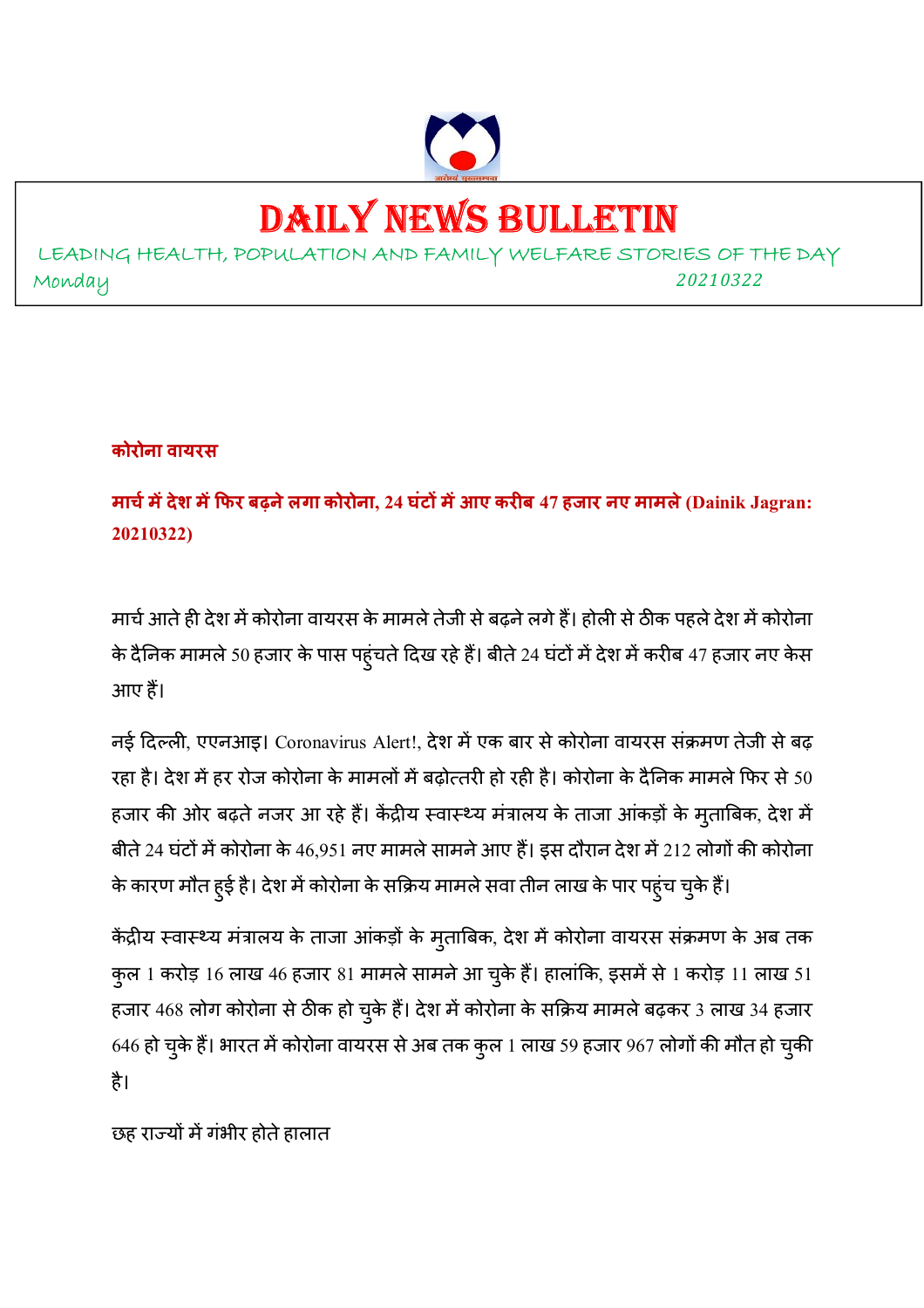

# DAILY NEWS BULLETIN

LEADING HEALTH, POPULATION AND FAMILY WELFARE STORIES OF THE DAY Monday *<sup>20210322</sup>*

#### **कोरोना वायरस**

**माचम
देश म
फर बढ़नेलगा कोरोना, 24 घंट म
आए करब 47 हजार नए मामले (Dainik Jagran: 20210322)** 

मार्च आते ही देश में कोरोना वायरस के मामले तेजी से बढ़ने लगे हैं। होली से ठीक पहले देश में कोरोना के दैनिक मामले 50 हजार के पास पहुंचते दिख रहे हैं। बीते 24 घंटों में देश में करीब 47 हजार नए केस आए ह।

नई दिल्ली, एएनआइ। Coronavirus Alert!, देश में एक बार से कोरोना वायरस संक्रमण तेजी से बढ़ रहा है। देश में हर रोज कोरोना के मामलों में बढ़ोत्तरी हो रही है। कोरोना के दैनिक मामले फिर से 50 हजार की ओर बढ़ते नजर आ रहे हैं। केंद्रीय स्वास्थ्य मत्रालय के ताजा आकड़ों के मुताबिक, देश में बीते 24 घंटों में कोरोना के 46,951 नए मामले सामने आए हैं। इस दौरान देश में 212 लोगों की कोरोना के कारण मौत हुई है। देश में कोरोना के सक्रिय मामले सवा तीन लाख के पार पहुंच चुके हैं।

केंद्रीय स्वास्थ्य मंत्रालय के ताजा आंकड़ों के मुताबिक, देश में कोरोना वायरस संक्रमण के अब तक कुल 1 करोड़ 16 लाख 46 हजार 81 मामले सामने आ चुके हैं। हालांकि, इसमें से 1 करोड़ 11 लाख 51 हजार 468 लोग कोरोना से ठीक हो चुके हैं। देश में कोरोना के सक्रिय मामले बढ़कर 3 लाख 34 हजार 646 हो चुके हैं। भारत में कोरोना वायरस से अब तक कुल 1 लाख 59 हजार 967 लोगों की मौत हो चुकी है।

छह राज्यों में गंभीर होते हालात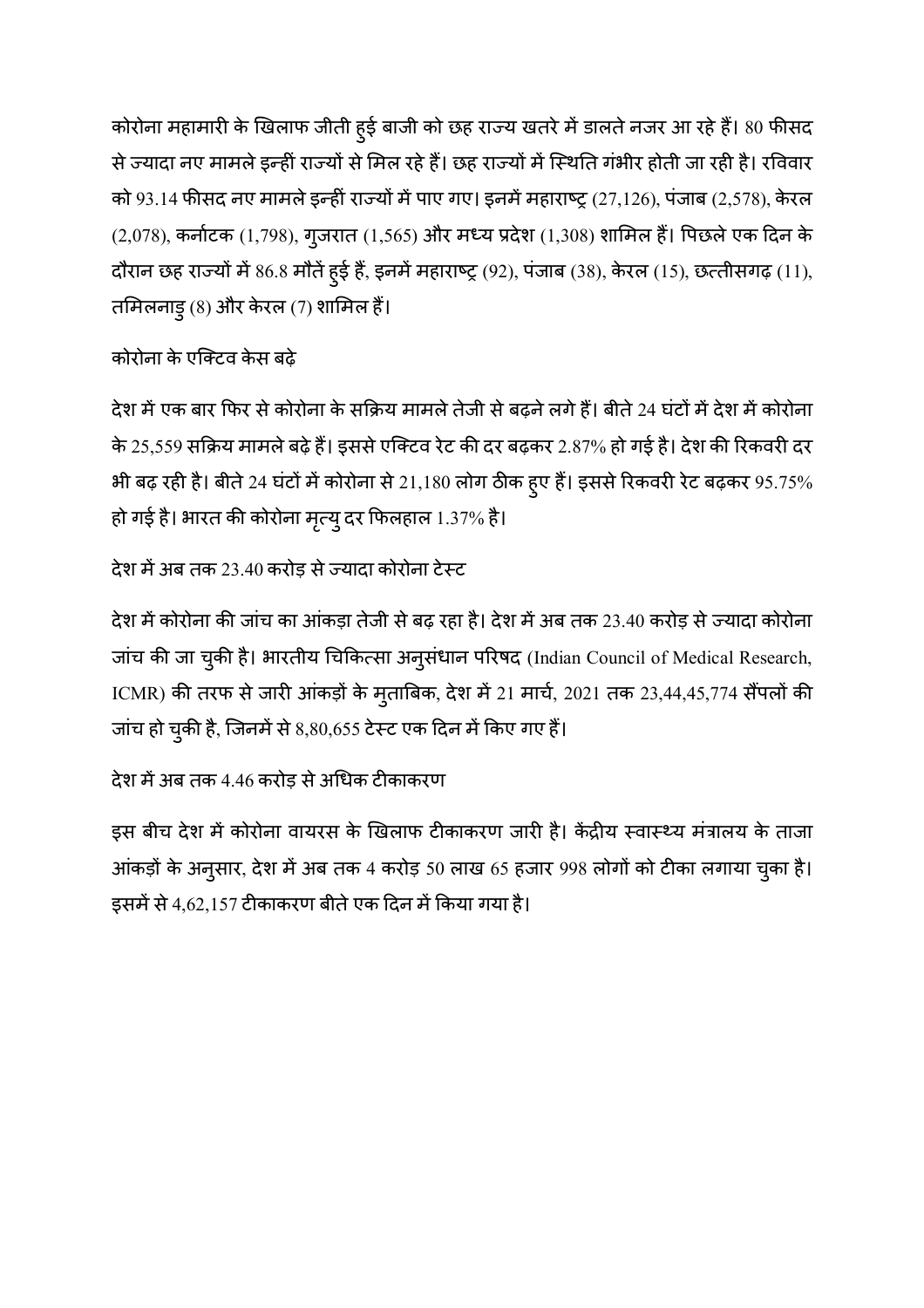कोरोना महामारी के खिलाफ जीती हुई बाजी को छह राज्य खतरे में डालते नजर आ रहे हैं। 80 फीसद से ज्यादा नए मामले इन्ही राज्यों से मिल रहे हैं। छह राज्यों में स्थिति गभीर होती जा रही है। रविवार को 93.14 फीसद नए मामले इन्ही राज्यो मे पाए गए। इनमे महाराष्ट्र (27,126), पजाब (2,578), केरल (2,078), कर्नाटक (1,798), गुजरात (1,565) और मध्य प्रदेश (1,308) शामिल हैं। पिछले एक दिन के दौरान छह राज्यों में 86.8 मौतें हुई हैं, इनमें महाराष्ट्र (92), पंजाब (38), केरल (15), छत्तीसगढ़ (11), तमिलनाडु (8) और केरल (7) शामिल हैं।

# कोरोना के एक्टिव केस बढ़े

देश में एक बार फिर से कोरोना के सक्रिय मामले तेजी से बढ़ने लगे हैं। बीते 24 घंटों में देश में कोरोना के 25,559 सक्रिय मामले बढ़े हैं। इससे एक्टिव रेट की दर बढ़कर 2.87% हो गई है। देश की रिकवरी दर भी बढ़ रही है। बीते 24 घंटों में कोरोना से 21,180 लोग ठीक हुए हैं। इससे रिकवरी रेट बढ़कर 95.75% हो गई है। भारत की कोरोना मृत्यु दर फिलहाल 1.37% है।

# देश में अब तक 23.40 करोड़ से ज्यादा कोरोना टेस्ट

देश में कोरोना की जांच का आंकड़ा तेजी से बढ़ रहा है। देश में अब तक 23.40 करोड़ से ज्यादा कोरोना जांच की जा चुकी है। भारतीय चिकित्सा अनुसंधान परिषद (Indian Council of Medical Research, ICMR) की तरफ से जारी आकड़ों के मुताबिक, देश में 21 मार्च, 2021 तक 23,44,45,774 सैंपलों की जांच हो चुकी है, जिनमें से 8,80,655 टेस्ट एक दिन में किए गए हैं।

# देश में अब तक 4.46 करोड़ से अधिक टीकाकरण

इस बीच देश में कोरोना वायरस के खिलाफ टीकाकरण जारी है। केंद्रीय स्वास्थ्य मंत्रालय के ताजा आकड़ों के अनुसार, देश में अब तक 4 करोड़ 50 लाख 65 हजार 998 लोगों को टीका लगाया चुका है। इसमें से 4,62,157 टीकाकरण बीते एक दिन में किया गया है।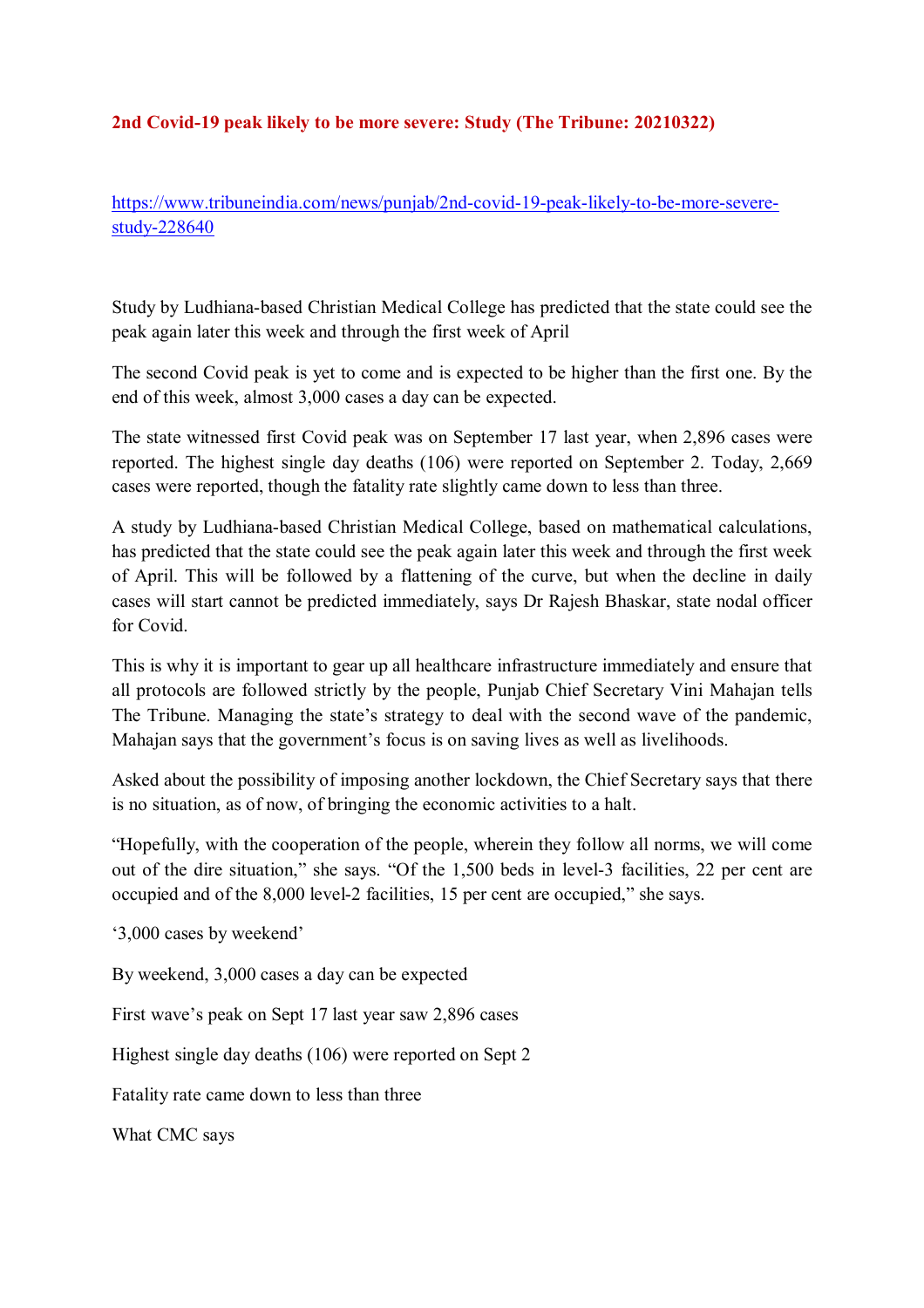#### **2nd Covid-19 peak likely to be more severe: Study (The Tribune: 20210322)**

https://www.tribuneindia.com/news/punjab/2nd-covid-19-peak-likely-to-be-more-severestudy-228640

Study by Ludhiana-based Christian Medical College has predicted that the state could see the peak again later this week and through the first week of April

The second Covid peak is yet to come and is expected to be higher than the first one. By the end of this week, almost 3,000 cases a day can be expected.

The state witnessed first Covid peak was on September 17 last year, when 2,896 cases were reported. The highest single day deaths (106) were reported on September 2. Today, 2,669 cases were reported, though the fatality rate slightly came down to less than three.

A study by Ludhiana-based Christian Medical College, based on mathematical calculations, has predicted that the state could see the peak again later this week and through the first week of April. This will be followed by a flattening of the curve, but when the decline in daily cases will start cannot be predicted immediately, says Dr Rajesh Bhaskar, state nodal officer for Covid.

This is why it is important to gear up all healthcare infrastructure immediately and ensure that all protocols are followed strictly by the people, Punjab Chief Secretary Vini Mahajan tells The Tribune. Managing the state's strategy to deal with the second wave of the pandemic, Mahajan says that the government's focus is on saving lives as well as livelihoods.

Asked about the possibility of imposing another lockdown, the Chief Secretary says that there is no situation, as of now, of bringing the economic activities to a halt.

"Hopefully, with the cooperation of the people, wherein they follow all norms, we will come out of the dire situation," she says. "Of the 1,500 beds in level-3 facilities, 22 per cent are occupied and of the 8,000 level-2 facilities, 15 per cent are occupied," she says.

'3,000 cases by weekend'

By weekend, 3,000 cases a day can be expected

First wave's peak on Sept 17 last year saw 2,896 cases

Highest single day deaths (106) were reported on Sept 2

Fatality rate came down to less than three

What CMC says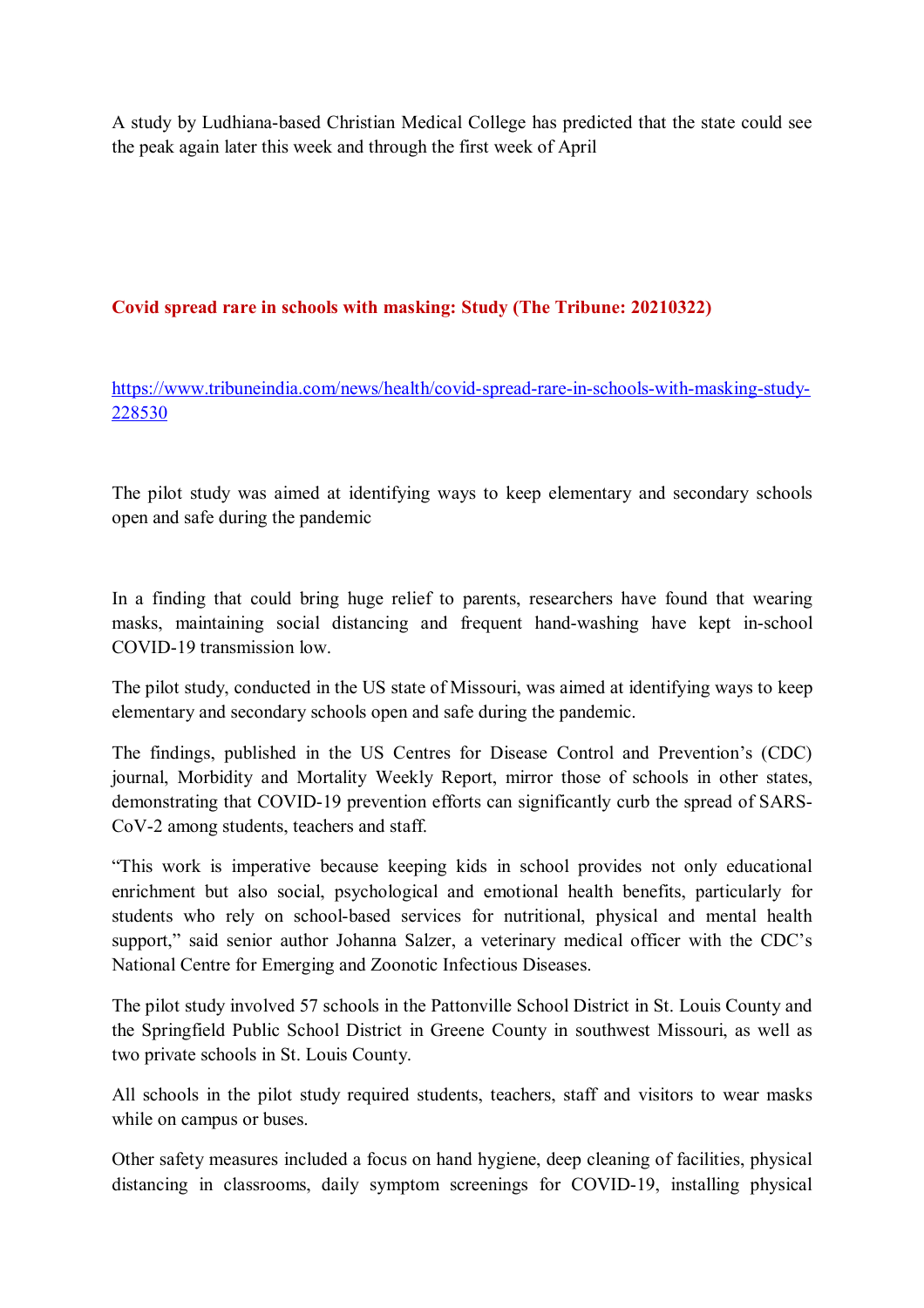A study by Ludhiana-based Christian Medical College has predicted that the state could see the peak again later this week and through the first week of April

#### **Covid spread rare in schools with masking: Study (The Tribune: 20210322)**

https://www.tribuneindia.com/news/health/covid-spread-rare-in-schools-with-masking-study-228530

The pilot study was aimed at identifying ways to keep elementary and secondary schools open and safe during the pandemic

In a finding that could bring huge relief to parents, researchers have found that wearing masks, maintaining social distancing and frequent hand-washing have kept in-school COVID-19 transmission low.

The pilot study, conducted in the US state of Missouri, was aimed at identifying ways to keep elementary and secondary schools open and safe during the pandemic.

The findings, published in the US Centres for Disease Control and Prevention's (CDC) journal, Morbidity and Mortality Weekly Report, mirror those of schools in other states, demonstrating that COVID-19 prevention efforts can significantly curb the spread of SARS-CoV-2 among students, teachers and staff.

"This work is imperative because keeping kids in school provides not only educational enrichment but also social, psychological and emotional health benefits, particularly for students who rely on school-based services for nutritional, physical and mental health support," said senior author Johanna Salzer, a veterinary medical officer with the CDC's National Centre for Emerging and Zoonotic Infectious Diseases.

The pilot study involved 57 schools in the Pattonville School District in St. Louis County and the Springfield Public School District in Greene County in southwest Missouri, as well as two private schools in St. Louis County.

All schools in the pilot study required students, teachers, staff and visitors to wear masks while on campus or buses.

Other safety measures included a focus on hand hygiene, deep cleaning of facilities, physical distancing in classrooms, daily symptom screenings for COVID-19, installing physical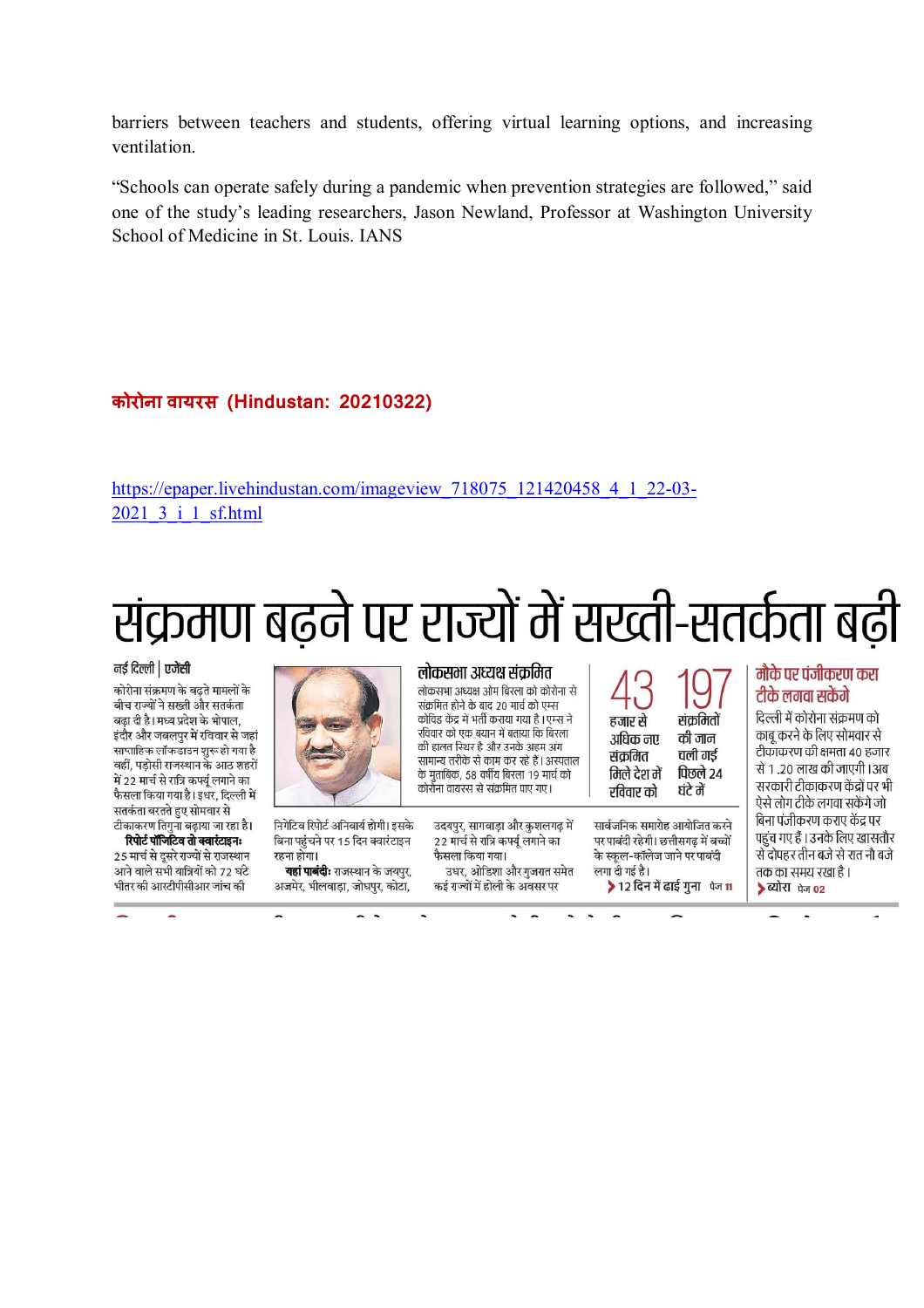barriers between teachers and students, offering virtual learning options, and increasing ventilation.

"Schools can operate safely during a pandemic when prevention strategies are followed," said one of the study's leading researchers, Jason Newland, Professor at Washington University School of Medicine in St. Louis. IANS

#### **कोरोना वायरस (Hindustan: 20210322)**

https://epaper.livehindustan.com/imageview\_718075\_121420458\_4\_1\_22-03-2021\_3\_i\_1\_sf.html

# संक्रमण बढ़ने पर राज्यों में सख्ती-सतर्कता बढ़ी

#### नई दिल्ली | एजेंसी

कोरोना संक्रमण के बढ़ते मामलों के बीच राज्यों ने सख्ती और सतर्कता बढा दी है। मध्य प्रदेश के भोपाल. इंदौर और जबलपुर में रविवार से जहां साप्ताहिक लॉकडाउन शुरू हो गया है वहीं. पडोसी राजस्थान के आठ शहरों में 22 मार्च से रात्रि कर्फ्य लगाने का फैसला किया गया है। इधर. दिल्ली में सतर्कता बरतते हुए सोमवार से टीकाकरण तिगुना बढ़ाया जा रहा है।

रिपोर्ट पॉजिंटिव तो क्वारंटाइनः 25 मार्च से दसरे राज्यों से राजस्थान आने वाले सभी यात्रियों को 72 घंटे भीतर की आरटीपीसीआर जांच की



निगेटिव रिपोर्ट अनिवार्य होगी। इसके बिना पहुंचने पर 15 दिन क्वारंटाइन रहना होगा।

यहां पाबंदी: राजस्थान के जयपुर, अजमेर, भीलवाड़ा, जोधपुर, कोटा,

#### लोकसमा अध्यक्ष संक्रमित

लोकसभा अध्यक्ष ओम बिरला को कोरोना से संक्रमित होने के बाद 20 मार्च को एम्स कोविड केंद्र में भर्ती कराया गया है। एम्स ने रविवार को एक बयान में बताया कि बिरला की हालत स्थिर है और उनके अहम अंग सामान्य तरीके से काम कर रहे हैं। अस्पताल के मताबिक, 58 वर्षीय बिरला 19 मार्च को कोर्रोना वायरस से संक्रमित पाए गए।

उदयपुर, सागवाड़ा और कुशलगढ़ में 22 मार्च से रात्रि कर्फ्यू लगाने का फैसला किया गया। उधर, ओडिशा और गुजरात समेत

कई राज्यों में होली के अवसर पर

हजार से संकमितों अधिक नए की जान चली गई संकमित पिछले २४ मिले देश में रविवार को ਬਂਟੇ ਗੇਂ

सार्वजनिक समारोह आयोजित करने पर पाबंदी रहेगी। छत्तीसगढ़ में बच्चों के स्कल-कॉलेज जाने पर पाबंदी लगा दी गई है। ▶ 12 दिन में ढाई गुना पेज 11

#### मौके पर पंजीकरण करा टीके लगवा सकेंगे

दिल्ली में कोरोना संक्रमण को काब करने के लिए सोमवार से टीकाकरण की क्षमता 40 हजार से 1,20 लाख की जाएगी । अब सरकारी टीकाकरण केंद्रों पर भी ऐसे लोग टीके लगवा सकेंगे जो बिना पंजीकरण कराए केंद्र पर पहुंच गए हैं । उनके लिए खासतौर से दोपहर तीन बजे से रात नौ बजे तक का समय रखा है । > ब्योरा पेज 02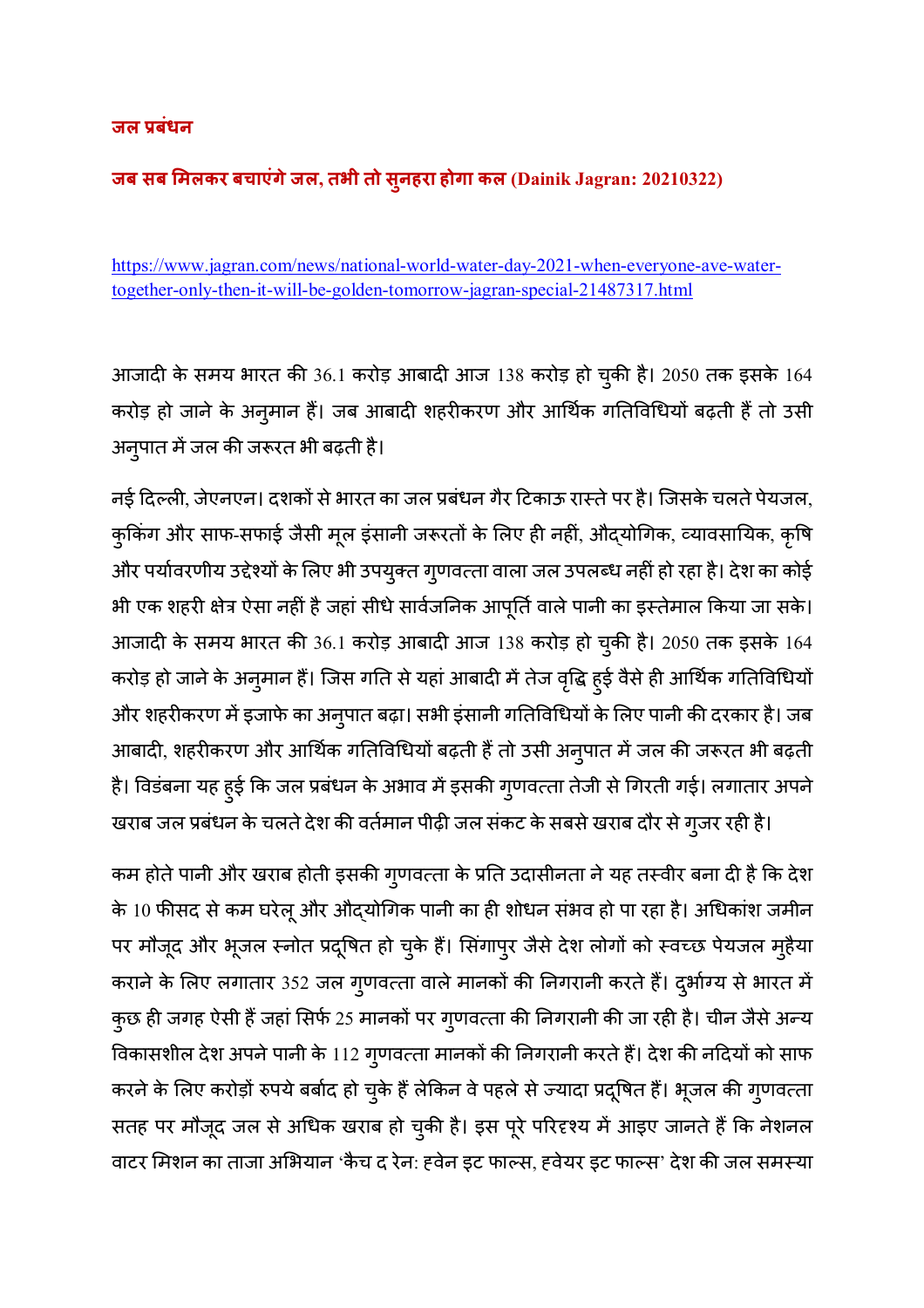#### **जल /बंधन**

#### **जब सब 1मलकर बचाएंगेजल, तभी तो सुनहरा होगा कल (Dainik Jagran: 20210322)**

https://www.jagran.com/news/national-world-water-day-2021-when-everyone-ave-watertogether-only-then-it-will-be-golden-tomorrow-jagran-special-21487317.html

आजादी के समय भारत की 36.1 करोड़ आबादी आज 138 करोड़ हो चुकी है। 2050 तक इसके 164 करोड़ हो जाने के अनुमान है। जब आबादी शहरीकरण और आर्थिक गतिविधियो बढ़ती है तो उसी अनुपात में जल की जरूरत भी बढ़ती है।

नई दिल्ली, जेएनएन। दशकों से भारत का जल प्रबंधन गैर टिकाऊ रास्ते पर है। जिसके चलते पेयजल, कुकिंग और साफ-सफाई जैसी मूल इंसानी जरूरतों के लिए ही नहीं, औद्योगिक, व्यावसायिक, कृषि और पर्यावरणीय उद्देश्यों के लिए भी उपयुक्त गुणवत्ता वाला जल उपलब्ध नहीं हो रहा है। देश का कोई भी एक शहरी क्षेत्र ऐसा नहीं है जहां सीधे सावेजनिक आपूर्ति वाले पानी का इस्तेमाल किया जा सके। आजादी के समय भारत की 36.1 करोड़ आबादी आज 138 करोड़ हो चुकी है। 2050 तक इसके 164 करोड़ हो जाने के अनुमान है। जिस गति से यहां आबादी में तेज वृद्धि हुई वैसे ही आर्थिक गतिविधियो और शहरीकरण में इजाफे का अनुपात बढ़ा। सभी इसानी गतिविधियों के लिए पानी की दरकार है। जब आबादी, शहरीकरण और आर्थिक गतिविधियों बढ़ती हैं तो उसी अनुपात में जल की जरूरत भी बढ़ती है। विडंबना यह हुई कि जल प्रबंधन के अभाव में इसकी गुणवत्ता तेजी से गिरती गई। लगातार अपने

खराब जल प्रबंधन के चलते देश की वर्तमान पीढ़ी जल सकट के सबसे खराब दौर से गुजर रही है।

कम होते पानी और खराब होती इसकी गुणवत्ता के प्रति उदासीनता ने यह तस्वीर बना दी है कि देश के 10 फीसद से कम घरेलू और औद्योगिक पानी का ही शोधन सभव हो पा रहा है। अधिकाश जमीन पर मौजूद और भूजल स्नोत प्रदूषित हो चुके हैं। सिंगापुर जैसे देश लोगों को स्वच्छ पेयजल मुहैया कराने के लिए लगातार 352 जल गुणवत्ता वाले मानकों की निगरानी करते हैं। दुर्भाग्य से भारत में कुछ ही जगह ऐसी हैं जहां सिर्फ 25 मानको पर गुणवत्ता की निगरानी की जा रही है। चीन जैसे अन्य विकासशील देश अपने पानी के 112 गुणवत्ता मानकों की निगरानी करते हैं। देश की नदियों को साफ करने के लिए करोड़ों रुपये बर्बाद हो चुके हैं लेकिन वे पहले से ज्यादा प्रदूषित हैं। भूजल की गुणवत्ता सतह पर मौजूद जल से अधिक खराब हो चुकी है। इस पूरे परिदृश्य में आइए जानते हैं कि नेशनल वाटर मिशन का ताजा अभियान 'कैच द रेन: हवेन इट फाल्स, हवेयर इट फाल्स' देश की जल समस्या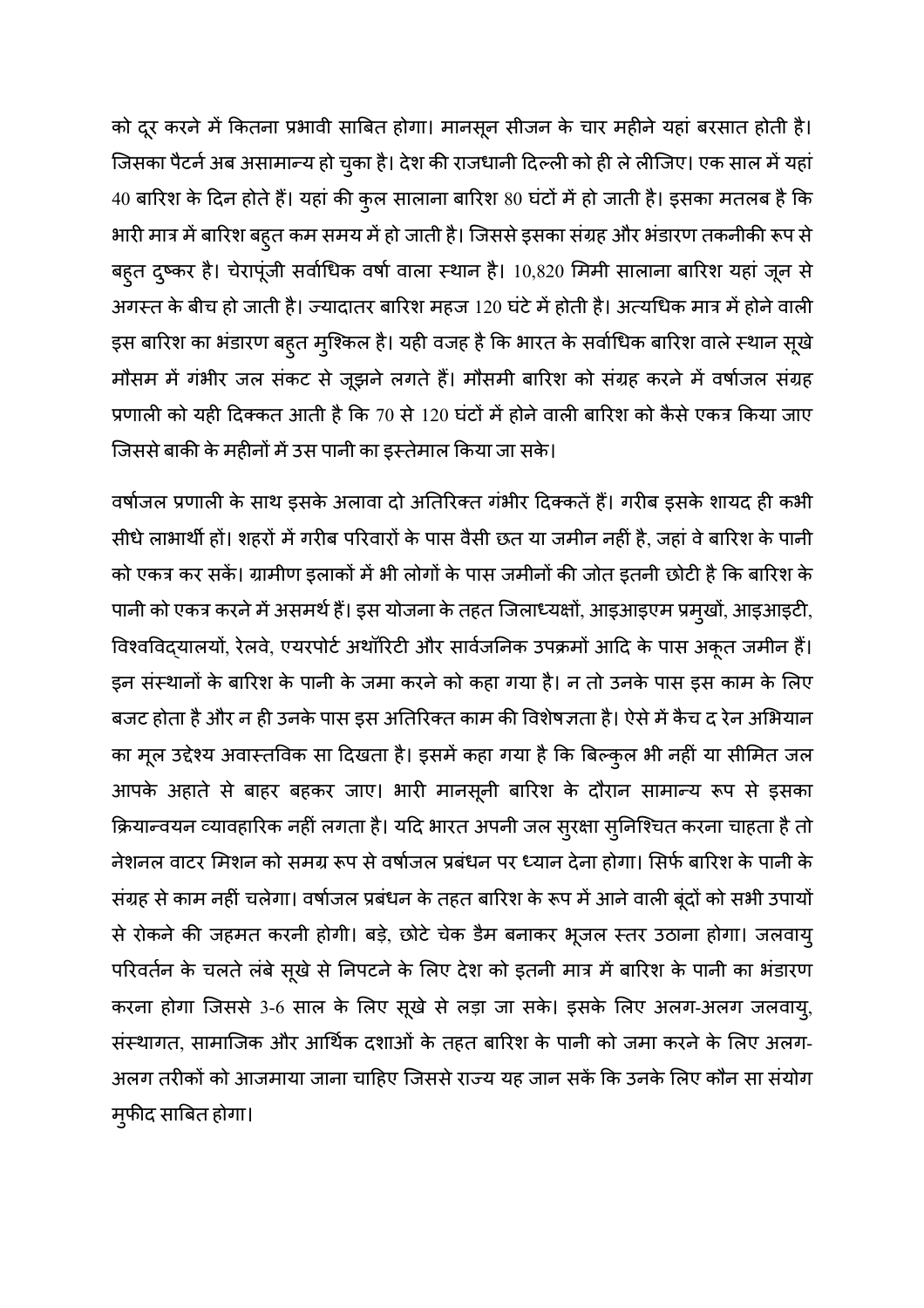को दूर करने में कितना प्रभावी साबित होगा। मानसून सीजन के चार महीने यहां बरसात होती है। जिसका पैटने अब असामान्य हो चुका है। देश की राजधानी दिल्ली को ही ले लीजिए। एक साल में यहां 40 बारिश के दिन होते हैं। यहां की कुल सालाना बारिश 80 घंटों में हो जाती है। इसका मतलब है कि भारी मात्र में बारिश बहुत कम समय में हो जाती है। जिससे इसका संग्रह और भंडारण तकनीकी रूप से बहुत दुष्कर है। चेरापूंजी सर्वाधिक वर्षा वाला स्थान है। 10,820 मिमी सालाना बारिश यहां जून से अगस्त के बीच हो जाती है। ज्यादातर बारिश महज 120 घटे में होती है। अत्यधिक मात्र में होने वाली इस बारिश का भंडारण बहुत मुश्किल है। यही वजह है कि भारत के सर्वाधिक बारिश वाले स्थान सूखे मौसम में गंभीर जल संकट से जूझने लगते हैं। मौसमी बारिश को संग्रह करने में वर्षाजल संग्रह प्रणाली को यही दिक्कत आती है कि 70 से 120 घंटो में होने वाली बारिश को कैसे एकत्र किया जाए जिससे बाकी के महीनों में उस पानी का इस्तेमाल किया जा सके।

वर्षाजल प्रणाली के साथ इसके अलावा दो अतिरिक्त गभीर दिक्कते है। गरीब इसके शायद ही कभी सीधे लाभार्थी हो। शहरों में गरीब परिवारों के पास वैसी छत या जमीन नहीं है, जहां वे बारिश के पानी को एकत्र कर सके। ग्रामीण इलाको में भी लोगों के पास जमीनों की जोत इतनी छोटी है कि बारिश के पानी को एकत्र करने में असमर्थ है। इस योजना के तहत जिलाध्यक्षो, आइआइएम प्रमुखो, आइआइटी, विश्वविद्यालयो, रेलवे, एयरपोर्ट अर्थारिटी और सावेजनिक उपक्रमो आदि के पास अकूत जमीन है। इन संस्थानों के बारिश के पानी के जमा करने को कहा गया है। न तो उनके पास इस काम के लिए बजट होता है और न ही उनके पास इस अतिरिक्त काम की विशेषज्ञता है। ऐसे में कैच द रेन अभियान का मूल उद्देश्य अवास्तविक सा दिखता है। इसमें कहा गया है कि बिल्कुल भी नहीं या सीमित जल आपके अहाते से बाहर बहकर जाए। भारी मानसूनी बारिश के दौरान सामान्य रूप से इसका क्रियान्वयन व्यावहारिक नहीं लगता है। यदि भारत अपनी जल सुरक्षा सुनिश्चित करना चाहता है तो नेशनल वाटर मिशन को समग्र रूप से वर्षाजल प्रबंधन पर ध्यान देना होगा। सिर्फ बारिश के पानी के संग्रह से काम नहीं चलेगा। वर्षाजल प्रबंधन के तहत बारिश के रूप में आने वाली बूंदों को सभी उपायो से रोकने की जहमत करनी होगी। बड़े, छोटे चेक डैम बनाकर भूजल स्तर उठाना होगा। जलवायु परिवर्तन के चलते लंबे सूखे से निपटने के लिए देश को इतनी मात्र में बारिश के पानी का भंडारण करना होगा जिससे 3-6 साल के लिए सूखे से लड़ा जा सके। इसके लिए अलग-अलग जलवायु, संस्थागत, सामाजिक और आर्थिक दशाओं के तहत बारिश के पानी को जमा करने के लिए अलग-अलग तरीको को आजमाया जाना चाहिए जिससे राज्य यह जान सके कि उनके लिए कौन सा संयोग मुफीद साबित होगा।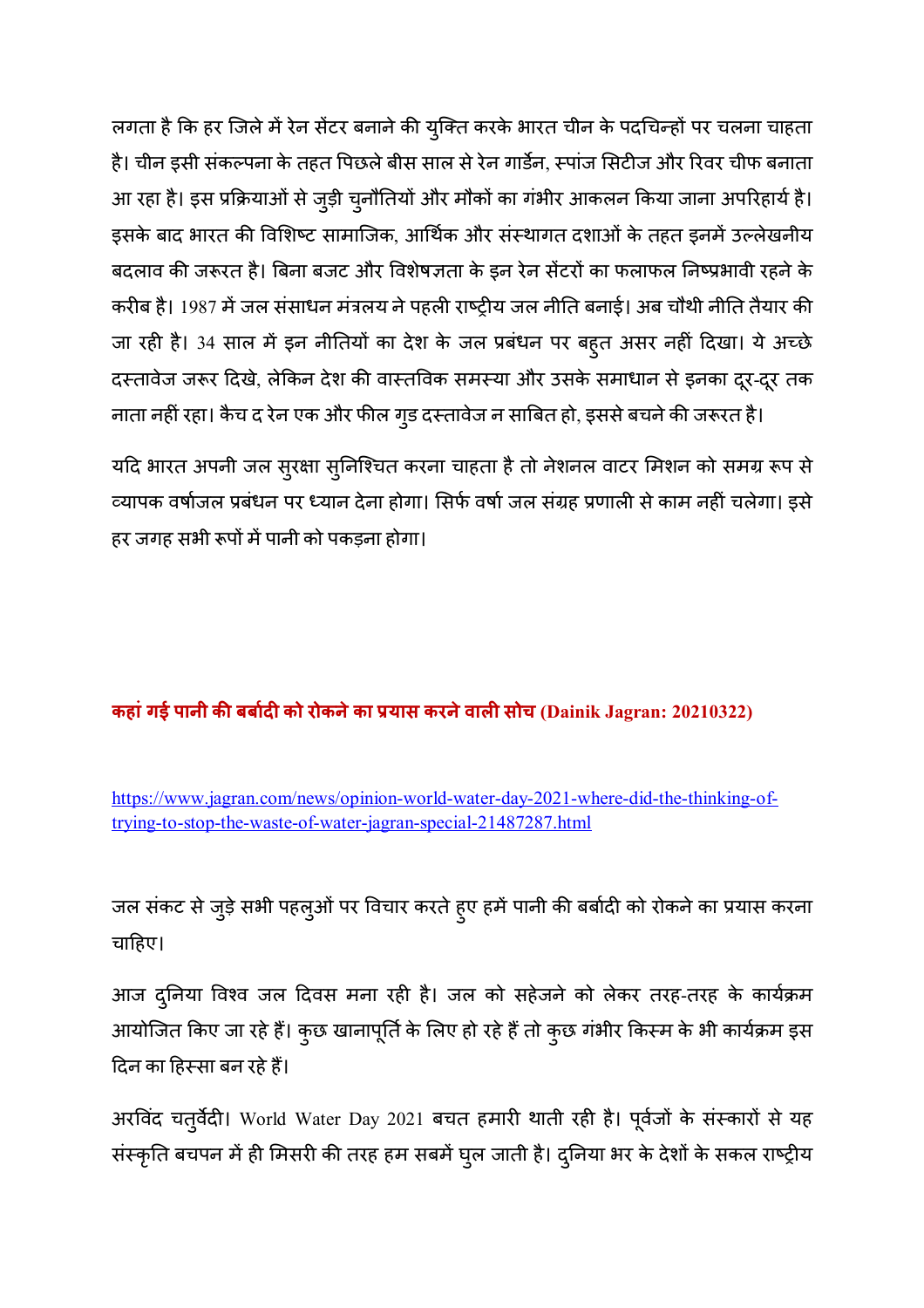लगता है कि हर जिले में रेन सेंटर बनाने की युक्ति करके भारत चीन के पदचिन्हों पर चलना चाहता है। चीन इसी संकल्पना के तहत पिछले बीस साल से रेन गार्डेन, स्पाज सिटीज और रिवर चीफ बनाता आ रहा है। इस प्रक्रियाओं से जुड़ी चुनौतियों और मौकों का गंभीर आकलन किया जाना अपरिहार्य है। इसके बाद भारत की विशिष्ट सामाजिक, आर्थिक और संस्थागत दशाओं के तहत इनमें उल्लेखनीय बदलाव की जरूरत है। बिना बजट और विशेषज्ञता के इन रेन सेंटरों का फलाफल निष्प्रभावी रहने के करीब है। 1987 में जल ससाधन मत्रलय ने पहली राष्ट्रीय जल नीति बनाई। अब चौथी नीति तैयार की जा रही है। 34 साल में इन नीतियों का देश के जल प्रबंधन पर बहुत असर नहीं दिखा। ये अच्छे दस्तावेज जरूर दिखे, लेकिन देश की वास्तविक समस्या और उसके समाधान से इनका दूर-दूर तक नाता नहीं रहा। कैच द रेन एक और फील गुड दस्तावेज न साबित हो, इससे बचने की जरूरत है।

यदि भारत अपनी जल सुरक्षा सुनिश्चित करना चाहता है तो नेशनल वाटर मिशन को समग्र रूप से व्यापक वर्षाजल प्रबंधन पर ध्यान देना होगा। सिर्फ वर्षा जल संग्रह प्रणाली से काम नहीं चलेगा। इसे हर जगह सभी रूपों में पानी को पकड़ना होगा।

#### **कहांगई पानी क8 बबाद को रोकनेका /यास करनेवाल सोच (Dainik Jagran: 20210322)**

https://www.jagran.com/news/opinion-world-water-day-2021-where-did-the-thinking-oftrying-to-stop-the-waste-of-water-jagran-special-21487287.html

जल संकट से जुड़े सभी पहलुओं पर विचार करते हुए हमें पानी की बबोदी को रोकने का प्रयास करना चाहिए।

आज दुनिया विश्व जल दिवस मना रही है। जल को सहेजने को लेकर तरह-तरह के कार्यक्रम आयोजित किए जा रहे हैं। कुछ खानापूर्ति के लिए हो रहे हैं तो कुछ गंभीर किस्म के भी कार्यक्रम इस दिन का हिस्सा बन रहे हैं।

अरविंद चतुर्वेदी। World Water Day 2021 बचत हमारी थाती रही है। पूर्वजो के सस्कारो से यह संस्कृति बचपन में ही मिसरी की तरह हम सबमें घुल जाती है। दुनिया भर के देशों के सकल राष्ट्रीय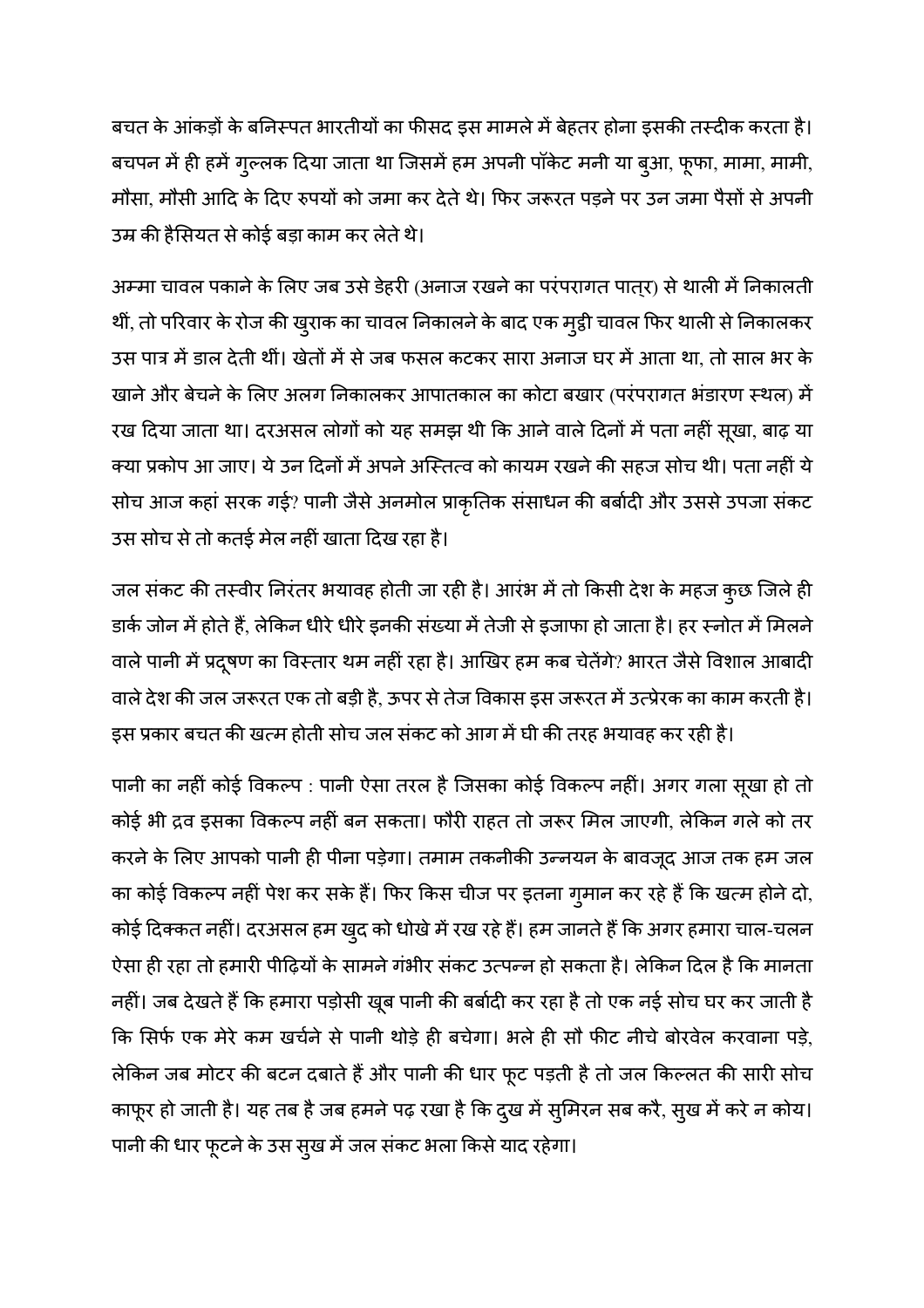बचत के आकड़ों के बनिस्पत भारतीयों का फीसद इस मामले में बेहतर होना इसकी तस्दीक करता है। बचपन में ही हमें गुल्लक दिया जाता था जिसमें हम अपनी पॉकेट मनी या बुआ, फूफा, मामा, मामी, मौसा, मौसी आदि के दिए रुपयों को जमा कर देते थे। फिर जरूरत पड़ने पर उन जमा पैसों से अपनी उम्र की हैसियत से कोई बड़ा काम कर लेते थे।

अम्मा चावल पकाने के लिए जब उसे डेहरी (अनाज रखने का परपरागत पात्र) से थाली में निकालती थी, तो परिवार के रोज की खुराक का चावल निकालने के बाद एक मुट्ठी चावल फिर थाली से निकालकर उस पात्र में डाल देती थीं। खेतों में से जब फसल कटकर सारा अनाज घर में आता था, तो साल भर के खाने और बेचने के लिए अलग निकालकर आपातकाल का कोटा बखार (परंपरागत भंडारण स्थल) में रख दिया जाता था। दरअसल लोगों को यह समझ थी कि आने वाले दिनों में पता नहीं सूखा, बाढ़ या क्या प्रकोप आ जाए। ये उन दिनों में अपने अस्तित्व को कायम रखने की सहज सोच थी। पता नहीं ये सोच आज कहा सरक गई? पानी जैसे अनमोल प्राकृतिक संसाधन की बबोदी और उससे उपजा संकट उस सोच से तो कतई मेल नहीं खाता दिख रहा है।

जल संकट की तस्वीर निरंतर भयावह होती जा रही है। आरंभ में तो किसी देश के महज कुछ जिले ही डार्क जोन में होते हैं, लेकिन धीरे धीरे इनकी संख्या में तेजी से इजाफा हो जाता है। हर स्नोत में मिलने वाले पानी में प्रदूषण का विस्तार थम नहीं रहा है। आखिर हम कब चेतेंगे? भारत जैसे विशाल आबादी वाले देश की जल जरूरत एक तो बड़ी है, ऊपर से तेज विकास इस जरूरत में उत्प्रेरक का काम करती है। इस प्रकार बचत की खत्म होती सोच जल सकट को आग में घी की तरह भयावह कर रही है।

पानी का नहीं कोई विकल्प : पानी ऐसा तरल है जिसका कोई विकल्प नहीं। अगर गला सूखा हो तो कोई भी द्रव इसका विकल्प नहीं बन सकता। फौरी राहत तो जरूर मिल जाएगी, लेकिन गले को तर करने के लिए आपको पानी ही पीना पड़ेगा। तमाम तकनीकी उन्नयन के बावजूद आज तक हम जल का कोई विकल्प नहीं पेश कर सके हैं। फिर किस चीज पर इतना गुमान कर रहे हैं कि खत्म होने दो, कोई दिक्कत नहीं। दरअसल हम खुद को धोखे में रख रहे हैं। हम जानते हैं कि अगर हमारा चाल-चलन ऐसा ही रहा तो हमारी पीढ़ियों के सामने गभीर सकट उत्पन्न हो सकता है। लेकिन दिल है कि मानता नहीं। जब देखते हैं कि हमारा पड़ोसी खूब पानी की बबोदी कर रहा है तो एक नई सोच घर कर जाती है कि सिर्फ एक मेरे कम खर्चने से पानी थोड़े ही बचेगा। भले ही सौ फीट नीचे बोरवेल करवाना पड़े, लेकिन जब मोटर की बटन दबाते है और पानी की धार फूट पड़ती है तो जल किल्लत की सारी सोच काफूर हो जाती है। यह तब है जब हमने पढ़ रखा है कि दुख में सुमिरन सब करै, सुख में करे न कोय। पानी की धार फूटने के उस सुख में जल संकट भला किसे याद रहेगा।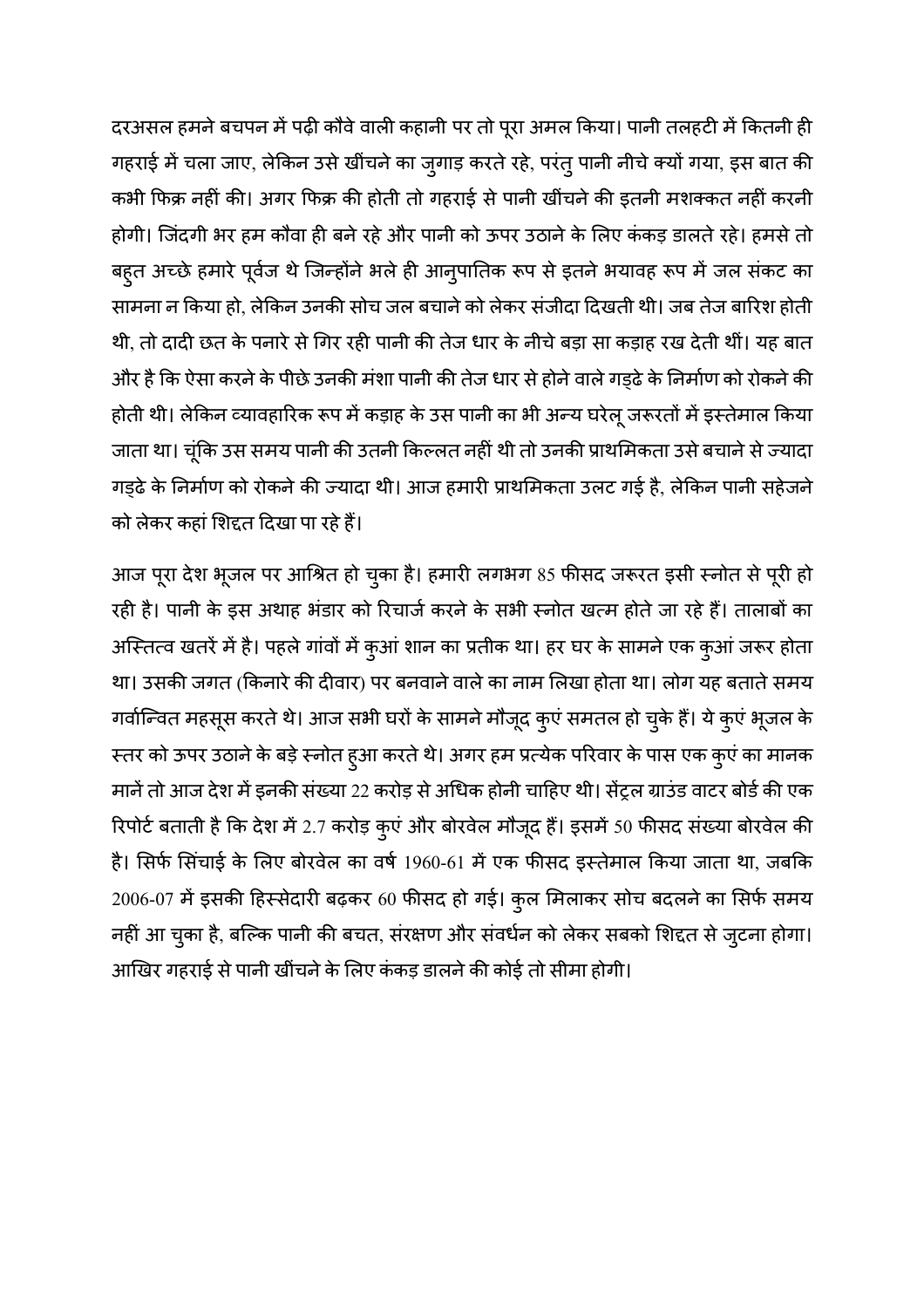दरअसल हमने बचपन में पढ़ी कौवे वाली कहानी पर तो पूरा अमल किया। पानी तलहटी में कितनी ही गहराई में चला जाए, लेकिन उसे खींचने का जुगाड़ करते रहे, परंतु पानी नीचे क्यों गया, इस बात की कभी फिक्र नहीं की। अगर फिक्र की होती तो गहराई से पानी खींचने की इतनी मशक्कत नहीं करनी होगी। जिंदगी भर हम कौवा ही बने रहे और पानी को ऊपर उठाने के लिए ककड़ डालते रहे। हमसे तो बहुत अच्छे हमारे पूर्वज थे जिन्होने भले ही आनुपातिक रूप से इतने भयावह रूप में जल सकट का सामना न किया हो, लेकिन उनकी सोच जल बचाने को लेकर संजीदा दिखती थी। जब तेज बारिश होती थी, तो दादी छत के पनारे से गिर रही पानी की तेज धार के नीचे बड़ा सा कड़ाह रख देती थीं। यह बात और है कि ऐसा करने के पीछे उनकी मंशा पानी की तेज धार से होने वाले गड्ढे के निर्माण को रोकने की होती थी। लेकिन व्यावहारिक रूप में कड़ाह के उस पानी का भी अन्य घरेलू जरूरतों में इस्तेमाल किया जाता था। चूंकि उस समय पानी की उतनी किल्लत नहीं थी तो उनकी प्राथमिकता उसे बचाने से ज्यादा गड्ढे के निर्माण को रोकने की ज्यादा थी। आज हमारी प्राथमिकता उलट गई है, लेकिन पानी सहेजने | को लेकर कहां शिद्दत दिखा पा रहे हैं।

आज पूरा देश भूजल पर आश्रित हो चुका है। हमारी लगभग 85 फीसद जरूरत इसी स्नोत से पूरी हो रही है। पानी के इस अथाह भडार को रिचाजे करने के सभी स्नोत खत्म होते जा रहे है। तालाबो का अस्तित्व खतरें में है। पहले गांवों में कुआं शान का प्रतीक था। हर घर के सामने एक कुआं जरूर होता था। उसकी जगत (किनारे की दीवार) पर बनवाने वाले का नाम लिखा होता था। लोग यह बताते समय गर्वान्वित महसूस करते थे। आज सभी घरों के सामने मौजूद कुएं समतल हो चुके हैं। ये कुएं भूजल के र तर को ऊपर उठाने के बड़े स्नोत हुआ करते थे। अगर हम प्रत्येक परिवार के पास एक कुएं का मानक मानें तो आज देश में इनकी संख्या 22 करोड़ से अधिक होनी चाहिए थी। सेंट्रल ग्राउंड वाटर बोर्ड की एक रिपोर्ट बताती है कि देश में 2.7 करोड़ कुएं और बोरवेल मौजूद हैं। इसमें 50 फीसद संख्या बोरवेल की है। सिर्फ सिंचाई के लिए बोरवेल का वर्ष 1960-61 में एक फीसद इस्तेमाल किया जाता था, जबकि 2006-07 में इसकी हिस्सेदारी बढ़कर 60 फीसद हो गई। कुल मिलाकर सोच बदलने का सिर्फ समय नहीं आ चुका है, बल्कि पानी की बचत, सरक्षण और संवधन को लेकर सबको शिद्दत से जुटना होगा। आखिर गहराई से पानी खींचने के लिए कंकड़ डालने की कोई तो सीमा होगी।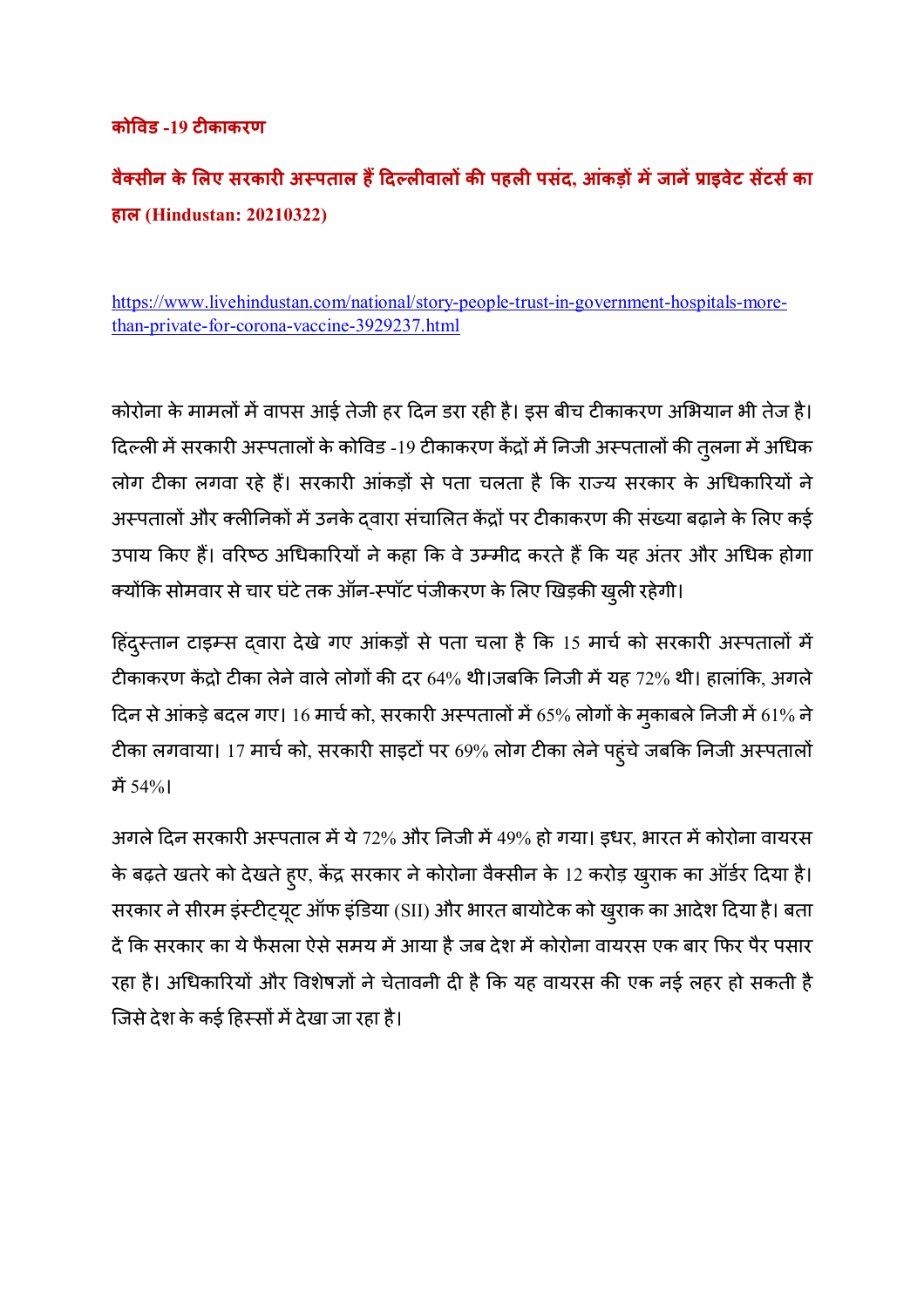#### **को9वड -19 टकाकरण**

**वै=सीन के 1लए सरकार अ?पताल ह@AदBलवाल क8 पहल पसंद, आंकड़ म
जान
/ाइवेट स
टसका हाल (Hindustan: 20210322)** 

https://www.livehindustan.com/national/story-people-trust-in-government-hospitals-morethan-private-for-corona-vaccine-3929237.html

कोरोना के मामलो में वापस आई तेजी हर दिन डरा रही है। इस बीच टीकाकरण अभियान भी तेज है। दिल्ली में सरकारी अस्पतालों के कोविड -19 टीकाकरण केंद्रों में निजी अस्पतालों की तुलना में अधिक लोग टीका लगवा रहे है। सरकारी आकड़ों से पता चलता है कि राज्य सरकार के अधिकारियों ने अस्पतालों और क्लीनिकों में उनके द्वारा संचालित केंद्रों पर टीकाकरण की संख्या बढ़ाने के लिए कई उपाय किए हैं। वरिष्ठ अधिकारियों ने कहा कि वे उम्मीद करते हैं कि यह अंतर और अधिक होगा क्योंकि सोमवार से चार घंटे तक ऑन-स्पॉट पंजीकरण के लिए खिड़की खुली रहेगी।

हिंदुस्तान टाइम्स द्वारा देखे गए आकड़ो से पता चला है कि 15 माचे को सरकारी अस्पतालो में टीकाकरण केंद्रो टीका लेने वाले लोगों की दर 64% थी।जबकि निजी में यह 72% थी। हालांकि, अगले दिन से आकड़े बदल गए। 16 मार्च को, सरकारी अस्पतालो में 65% लोगों के मुकाबले निजी में 61% ने | टीका लगवाया। 17 मार्च को, सरकारी साइटो पर 69% लोग टीका लेने पहुंचे जबकि निजी अस्पतालो म 54%।

अगले दिन सरकारी अस्पताल में ये 72% और निजी में 49% हो गया। इधर, भारत में कोरोना वायरस के बढ़ते खतरे को देखते हुए, केंद्र सरकार ने कोरोना वैक्सीन के 12 करोड़ खुराक का ऑर्डर दिया है। सरकार ने सीरम इंस्टीट्यूट ऑफ इंडिया (SII) और भारत बायोटेक को खुराक का आदेश दिया है। बता दें कि सरकार का ये फैसला ऐसे समय में आया है जब देश में कोरोना वायरस एक बार फिर पैर पसार रहा है। अधिकारियों और विशेषज्ञों ने चेतावनी दी है कि यह वायरस की एक नई लहर हो सकती है जिसे देश के कई हिस्सों में देखा जा रहा है।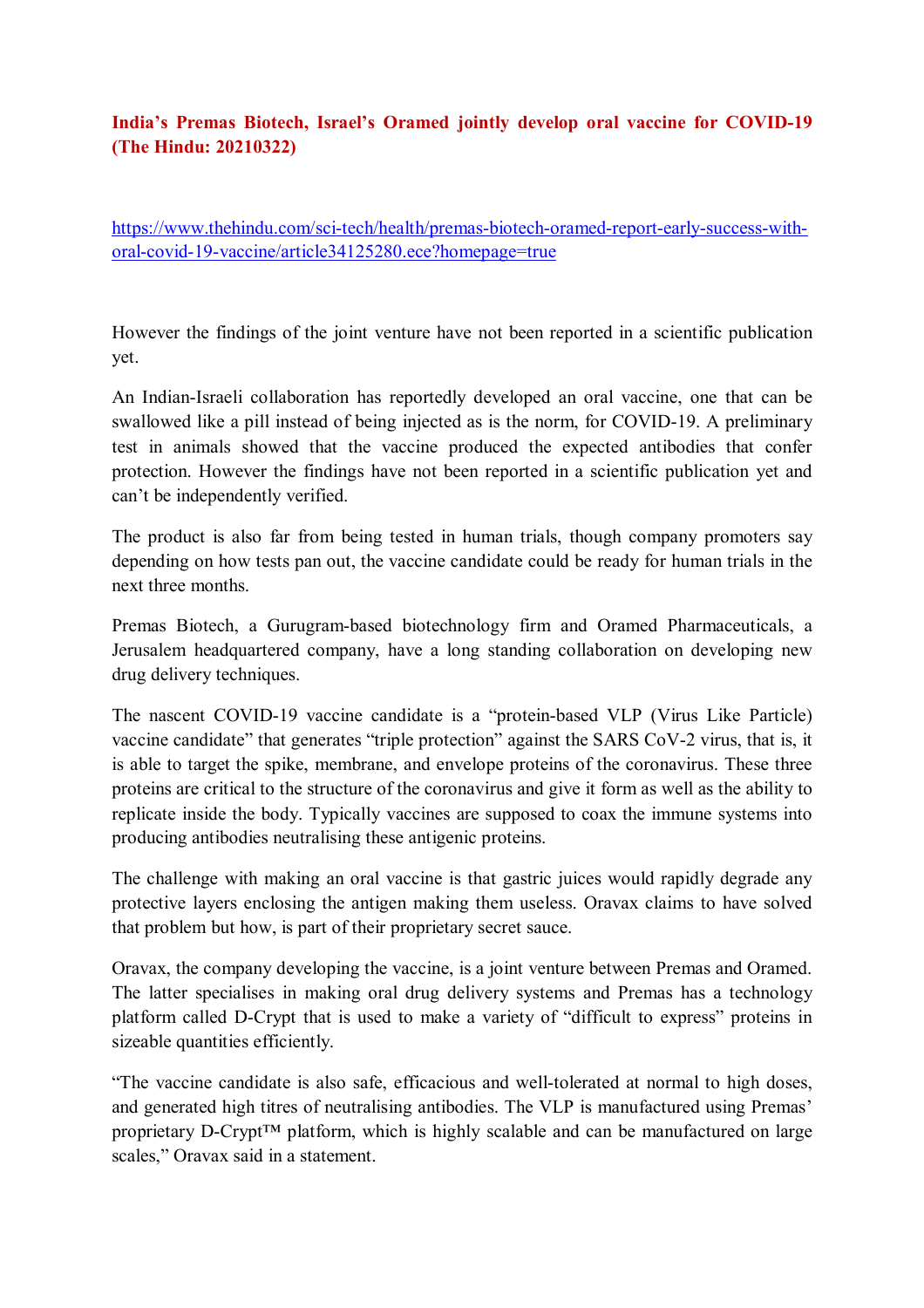#### **India's Premas Biotech, Israel's Oramed jointly develop oral vaccine for COVID-19 (The Hindu: 20210322)**

https://www.thehindu.com/sci-tech/health/premas-biotech-oramed-report-early-success-withoral-covid-19-vaccine/article34125280.ece?homepage=true

However the findings of the joint venture have not been reported in a scientific publication yet.

An Indian-Israeli collaboration has reportedly developed an oral vaccine, one that can be swallowed like a pill instead of being injected as is the norm, for COVID-19. A preliminary test in animals showed that the vaccine produced the expected antibodies that confer protection. However the findings have not been reported in a scientific publication yet and can't be independently verified.

The product is also far from being tested in human trials, though company promoters say depending on how tests pan out, the vaccine candidate could be ready for human trials in the next three months.

Premas Biotech, a Gurugram-based biotechnology firm and Oramed Pharmaceuticals, a Jerusalem headquartered company, have a long standing collaboration on developing new drug delivery techniques.

The nascent COVID-19 vaccine candidate is a "protein-based VLP (Virus Like Particle) vaccine candidate" that generates "triple protection" against the SARS CoV-2 virus, that is, it is able to target the spike, membrane, and envelope proteins of the coronavirus. These three proteins are critical to the structure of the coronavirus and give it form as well as the ability to replicate inside the body. Typically vaccines are supposed to coax the immune systems into producing antibodies neutralising these antigenic proteins.

The challenge with making an oral vaccine is that gastric juices would rapidly degrade any protective layers enclosing the antigen making them useless. Oravax claims to have solved that problem but how, is part of their proprietary secret sauce.

Oravax, the company developing the vaccine, is a joint venture between Premas and Oramed. The latter specialises in making oral drug delivery systems and Premas has a technology platform called D-Crypt that is used to make a variety of "difficult to express" proteins in sizeable quantities efficiently.

"The vaccine candidate is also safe, efficacious and well-tolerated at normal to high doses, and generated high titres of neutralising antibodies. The VLP is manufactured using Premas' proprietary D-Crypt™ platform, which is highly scalable and can be manufactured on large scales," Oravax said in a statement.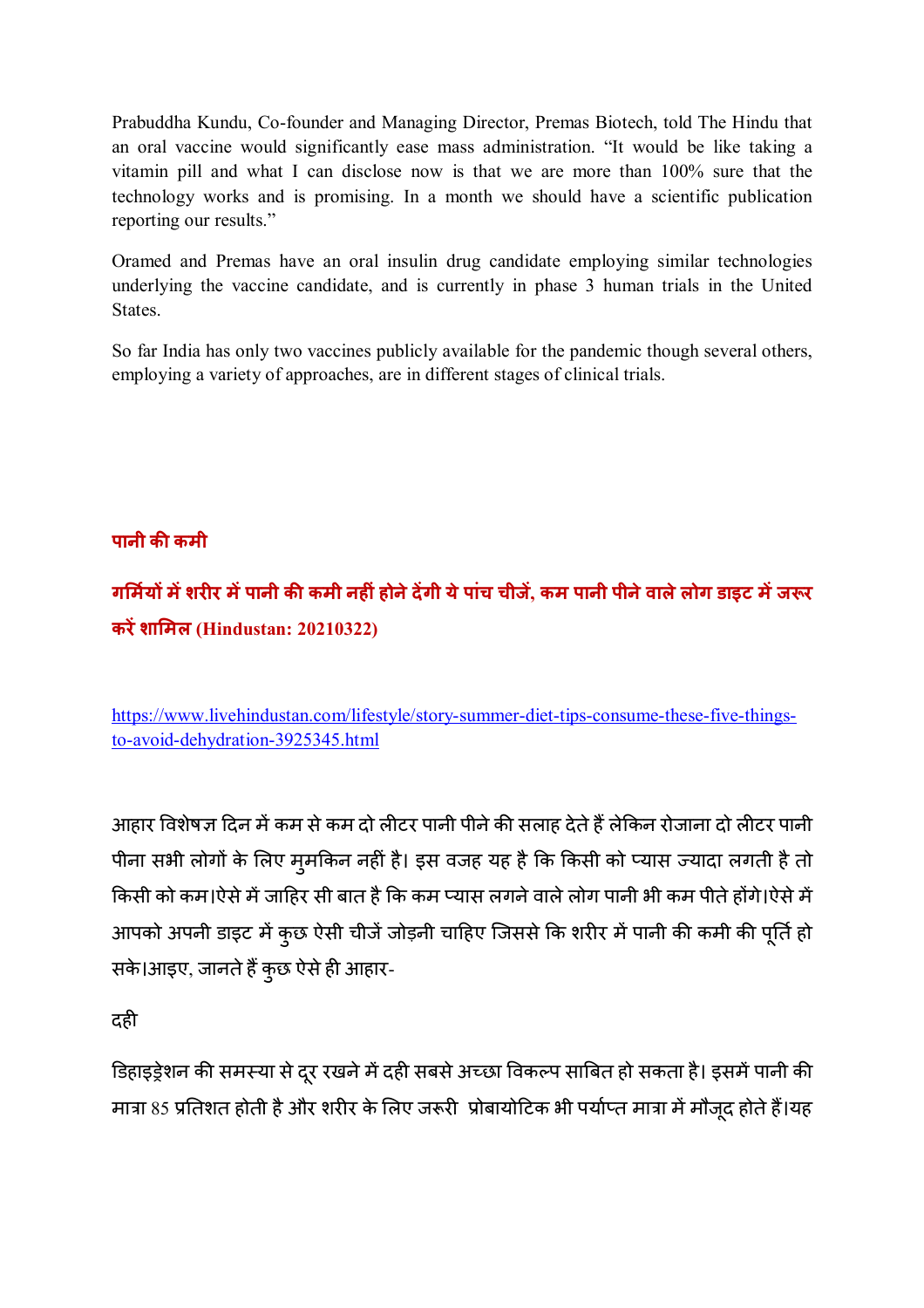Prabuddha Kundu, Co-founder and Managing Director, Premas Biotech, told The Hindu that an oral vaccine would significantly ease mass administration. "It would be like taking a vitamin pill and what I can disclose now is that we are more than 100% sure that the technology works and is promising. In a month we should have a scientific publication reporting our results."

Oramed and Premas have an oral insulin drug candidate employing similar technologies underlying the vaccine candidate, and is currently in phase 3 human trials in the United **States**.

So far India has only two vaccines publicly available for the pandemic though several others, employing a variety of approaches, are in different stages of clinical trials.

# **पानी क8 कमी**

**ग1मय म
शरर म
पानी क8 कमी नहंहोनेद
गी येपांच चीज , कम पानी पीनेवालेलोग डाइट म
जEर कर
शा1मल (Hindustan: 20210322)** 

https://www.livehindustan.com/lifestyle/story-summer-diet-tips-consume-these-five-thingsto-avoid-dehydration-3925345.html

आहार विशेषज्ञ दिन में कम से कम दो लीटर पानी पीने की सलाह देते हैं लेकिन रोजाना दो लीटर पानी पीना सभी लोगों के लिए मुमकिन नहीं है। इस वजह यह है कि किसी को प्यास ज्यादा लगती है तो किसी को कम।ऐसे में जाहिर सी बात है कि कम प्यास लगने वाले लोग पानी भी कम पीते होंगे।ऐसे में आपको अपनी डाइट में कुछ ऐसी चीजे जोड़नी चाहिए जिससे कि शरीर में पानी की कमी की पूर्ति हो सके।आइए, जानते है कुछ ऐसे ही आहार-

दही

डिहाइड्रेशन की समस्या से दूर रखने में दही सबसे अच्छा विकल्प साबित हो सकता है। इसमें पानी की मात्रा 85 प्रतिशत होती है और शरीर के लिए जरूरी प्रोबायोटिक भी पर्याप्त मात्रा में मौजूद होते हैं।यह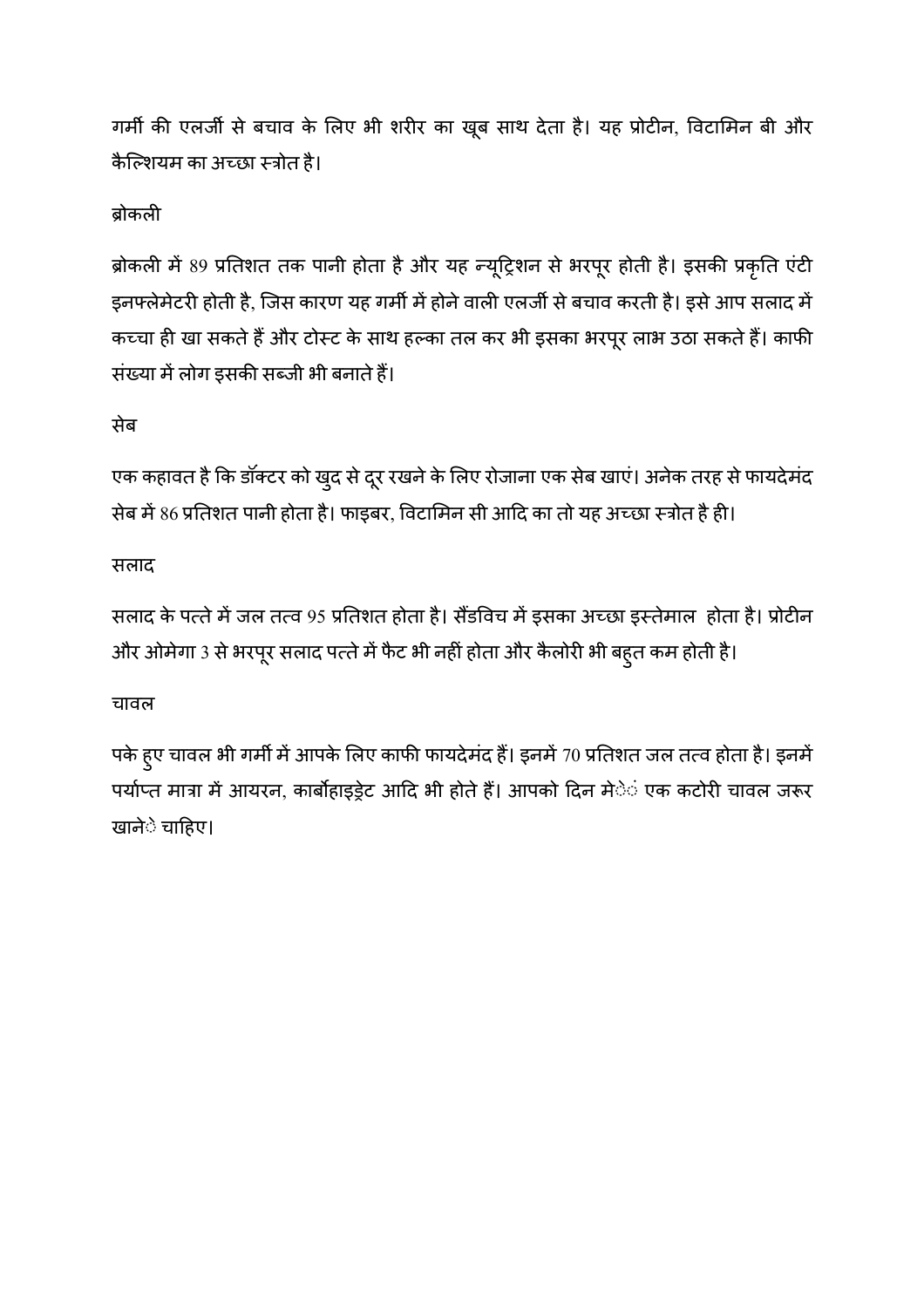गर्मी की एलजी से बचाव के लिए भी शरीर का खूब साथ देता है। यह प्रोटीन, विटामिन बी और कैल्शियम का अच्छा स्त्रोत है।

# बोकली

ब्रोकली में 89 प्रतिशत तक पानी होता है और यह न्यूट्रिशन से भरपूर होती है। इसकी प्रकृति एंटी इनफ्लेमेटरी होती है, जिस कारण यह गर्मी में होने वाली एलजी से बचाव करती है। इसे आप सलाद में कच्चा ही खा सकते है और टोस्ट के साथ हल्का तल कर भी इसका भरपूर लाभ उठा सकते है। काफी संख्या में लोग इसकी सब्जी भी बनाते हैं।

# सेब

एक कहावत है कि डॉक्टर को खुद से दूर रखने के लिए रोजाना एक सेब खाएं। अनेक तरह से फायदेमंद सेब में 86 प्रतिशत पानी होता है। फाइबर, विटामिन सी आदि का तो यह अच्छा स्त्रोत है ही।

#### सलाद

सलाद के पत्ते में जल तत्व 95 प्रतिशत होता है। सैंडविच में इसका अच्छा इस्तेमाल होता है। प्रोटीन और ओमेगा 3 से भरपूर सलाद पत्ते में फैट भी नहीं होता और कैलोरी भी बहुत कम होती है।

#### चावल

पके हुए चावल भी गर्मी में आपके लिए काफी फायदेमंद हैं। इनमें 70 प्रतिशत जल तत्व होता है। इनमें पर्याप्त मात्रा में आयरन, कार्बोहाइड्रेट आदि भी होते हैं। आपको दिन मेे**ं एक कटोरी चावल जरू**र खानेे चाहिए।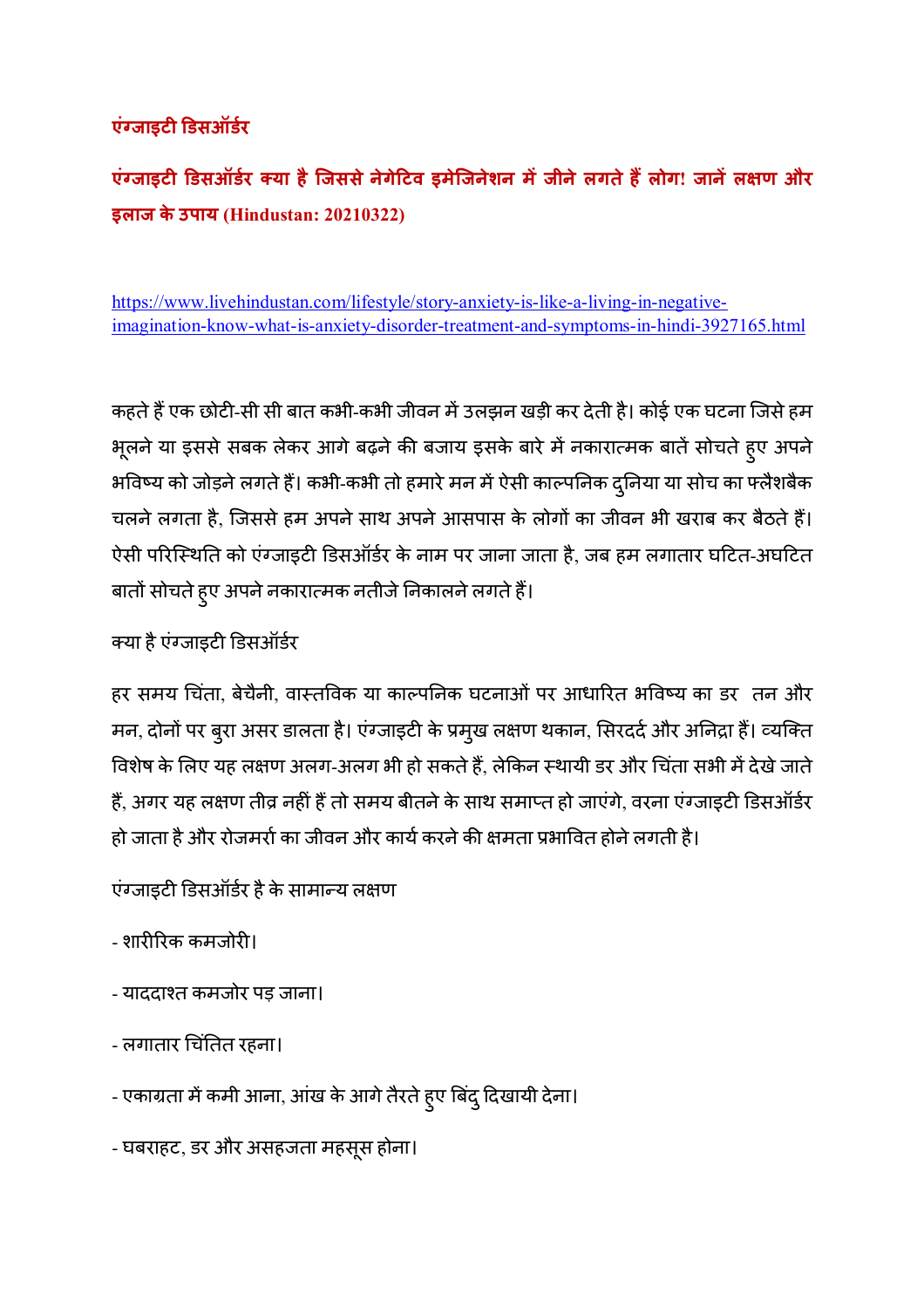# **एंFजाइट Gडसऑडर**

**एंFजाइट Gडसऑडर =या हैिजससेनेगेAटव इमेिजनेशन म
जीनेलगतेह@लोग! जान
लJण और इलाज के उपाय (Hindustan: 20210322)** 

https://www.livehindustan.com/lifestyle/story-anxiety-is-like-a-living-in-negativeimagination-know-what-is-anxiety-disorder-treatment-and-symptoms-in-hindi-3927165.html

कहते है एक छोटी-सी सी बात कभी-कभी जीवन मे उलझन खड़ी कर देती है। कोई एक घटना जिसे हम भूलने या इससे सबक लेकर आगे बढ़ने की बजाय इसके बारे में नकारात्मक बातें सोचते हुए अपने भविष्य को जोड़ने लगते हैं। कभी-कभी तो हमारे मन में ऐसी काल्पनिक दुनिया या सोच का फ्लैशबैक चलने लगता है, जिससे हम अपने साथ अपने आसपास के लोगों का जीवन भी खराब कर बैठते हैं। ऐसी परिस्थिति को एंग्जाइटी डिसऑर्डर के नाम पर जाना जाता है, जब हम लगातार घटित-अघटित बातों सोचते हुए अपने नकारात्मक नतीजे निकालने लगते हैं।

क्या है एग्जाइटी डिसऑर्डर

हर समय चिंता, बेचैनी, वास्तविक या काल्पनिक घटनाओं पर आधारित भविष्य का डर तन और मन, दोनो पर बुरा असर डालता है। एंग्जाइटी के प्रमुख लक्षण थकान, सिरददे और अनिद्रा है। व्यक्ति विशेष के लिए यह लक्षण अलग-अलग भी हो सकते हैं, लेकिन स्थायी डर और चिंता सभी में देखे जाते हैं, अगर यह लक्षण तीव्र नहीं हैं तो समय बीतने के साथ समाप्त हो जाएंगे, वरना एंग्जाइटी डिसऑर्डर हो जाता है और रोजमर्रा का जीवन और कार्य करने की क्षमता प्रभावित होने लगती है।

एंग्जाइटी डिसऑर्डर है के सामान्य लक्षण

- शारीरिक कमजोरी।
- याददाश्त कमजोर पड़ जाना।
- लगातार चिंतित रहना।
- एकाग्रता में कमी आना, आंख के आगे तैरते हुए बिंदु दिखायी देना।

- घबराहट, डर और असहजता महसूस होना।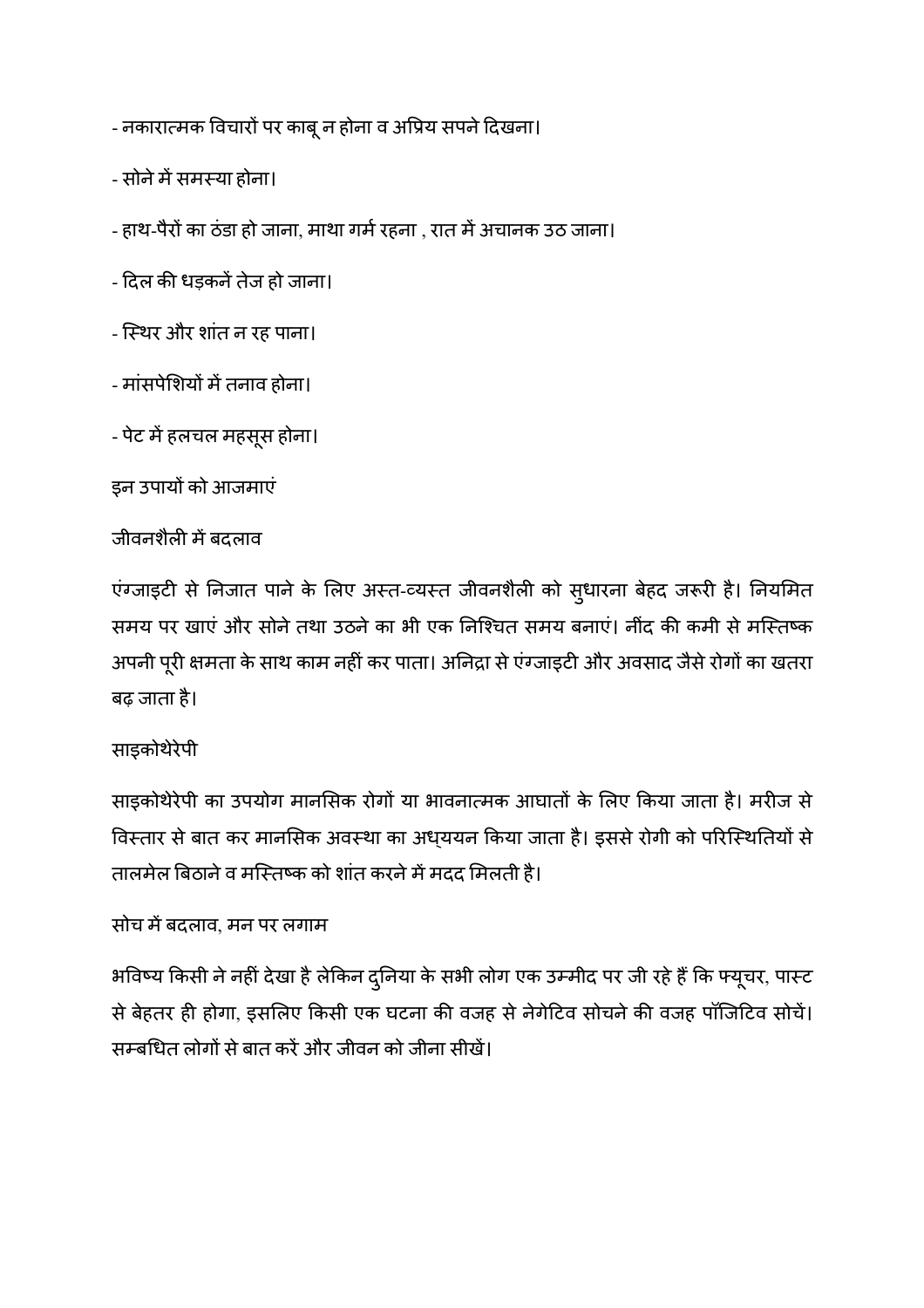- नकारात्मक विचारों पर काबू न होना व अप्रिय सपने दिखना।

- सोने में समस्या होना।
- हाथ-पैरों का ठंडा हो जाना, माथा गर्म रहना , रात में अचानक उठ जाना।
- दिल की धड़कनें तेज हो जाना।
- ि5थर और शांत न रह पाना।
- मांसपेशियों में तनाव होना।
- पेट म
हलचल महसूस होना।

इन उपायों को आजमाएं

#### जीवनशैल म
बदलाव

एग्जाइटी से निजात पाने के लिए अस्त-व्यस्त जीवनशैली को सुधारना बेहद जरूरी है। निर्यामेत समय पर खाएं और सोने तथा उठने का भी एक निश्चित समय बनाएं। नींद की कमी से मस्तिष्क अपनी पूरी क्षमता के साथ काम नहीं कर पाता। अनिद्रा से एग्जाइटी और अवसाद जैसे रोगों का खतरा बढ़ जाता है।

#### साइकोथेरेपी

साइकोथेरेपी का उपयोग मार्नासेक रोगो या भावनात्मक आघातों के लिए किया जाता है। मरीज से विस्तार से बात कर मानसिक अवस्था का अध्ययन किया जाता है। इससे रोगी को परिस्थितियों से तालमेल बिठाने व मस्तिष्क को शांत करने में मदद मिलती है।

#### सोच म
बदलाव, मन पर लगाम

भविष्य किसी ने नहीं देखा है लेकिन दुनिया के सभी लोग एक उम्मीद पर जी रहे है कि फ्यूचर, पास्ट से बेहतर ही होगा, इसलिए किसी एक घटना की वजह से नेगेटिव सोचने की वजह पॉजिटिव सोचे। सम्बधित लोगों से बात करें और जीवन को जीना सीखें।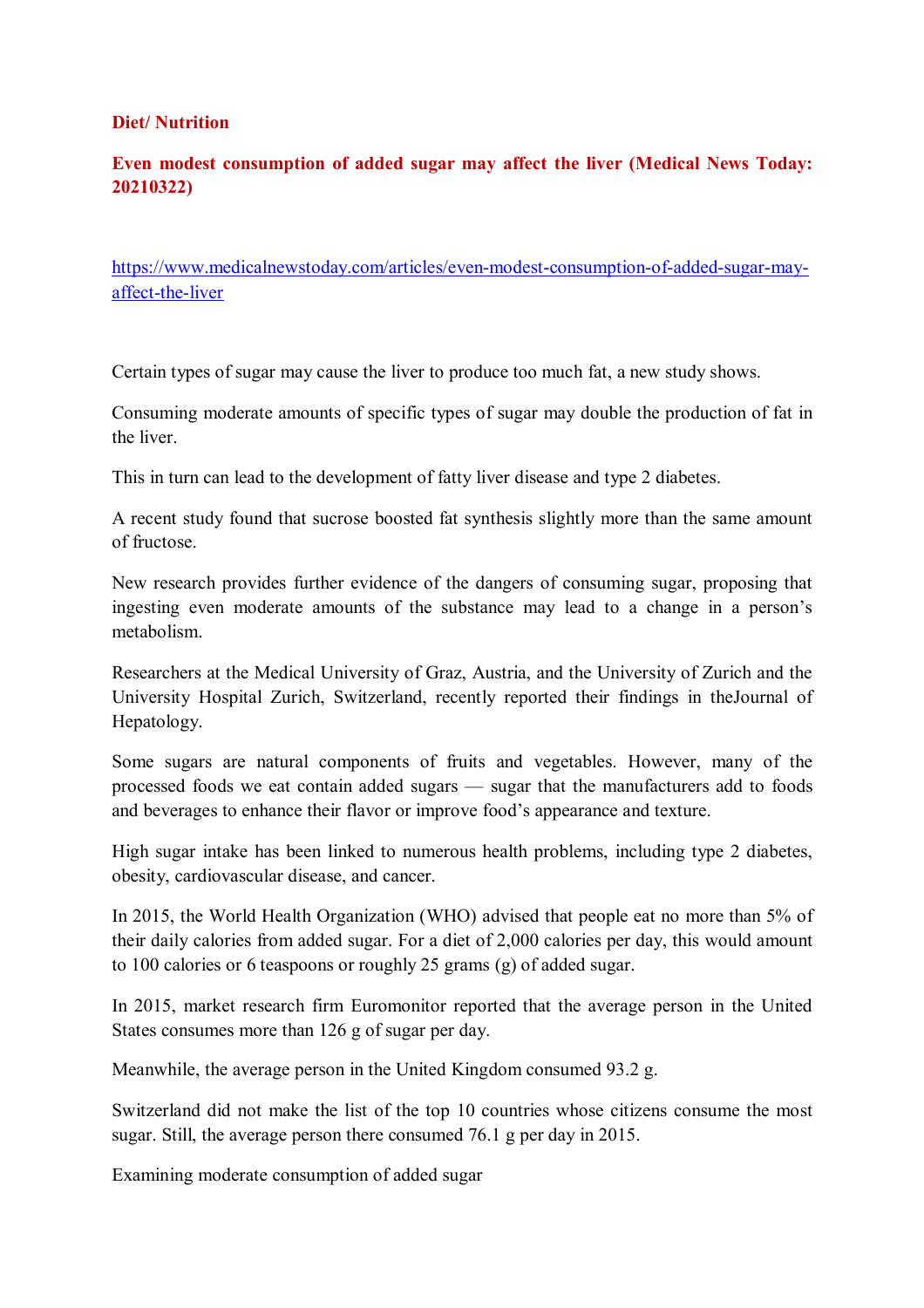#### **Diet/ Nutrition**

#### **Even modest consumption of added sugar may affect the liver (Medical News Today: 20210322)**

https://www.medicalnewstoday.com/articles/even-modest-consumption-of-added-sugar-mayaffect-the-liver

Certain types of sugar may cause the liver to produce too much fat, a new study shows.

Consuming moderate amounts of specific types of sugar may double the production of fat in the liver.

This in turn can lead to the development of fatty liver disease and type 2 diabetes.

A recent study found that sucrose boosted fat synthesis slightly more than the same amount of fructose.

New research provides further evidence of the dangers of consuming sugar, proposing that ingesting even moderate amounts of the substance may lead to a change in a person's metabolism.

Researchers at the Medical University of Graz, Austria, and the University of Zurich and the University Hospital Zurich, Switzerland, recently reported their findings in theJournal of Hepatology.

Some sugars are natural components of fruits and vegetables. However, many of the processed foods we eat contain added sugars — sugar that the manufacturers add to foods and beverages to enhance their flavor or improve food's appearance and texture.

High sugar intake has been linked to numerous health problems, including type 2 diabetes, obesity, cardiovascular disease, and cancer.

In 2015, the World Health Organization (WHO) advised that people eat no more than 5% of their daily calories from added sugar. For a diet of 2,000 calories per day, this would amount to 100 calories or 6 teaspoons or roughly 25 grams (g) of added sugar.

In 2015, market research firm Euromonitor reported that the average person in the United States consumes more than 126 g of sugar per day.

Meanwhile, the average person in the United Kingdom consumed 93.2 g.

Switzerland did not make the list of the top 10 countries whose citizens consume the most sugar. Still, the average person there consumed 76.1 g per day in 2015.

Examining moderate consumption of added sugar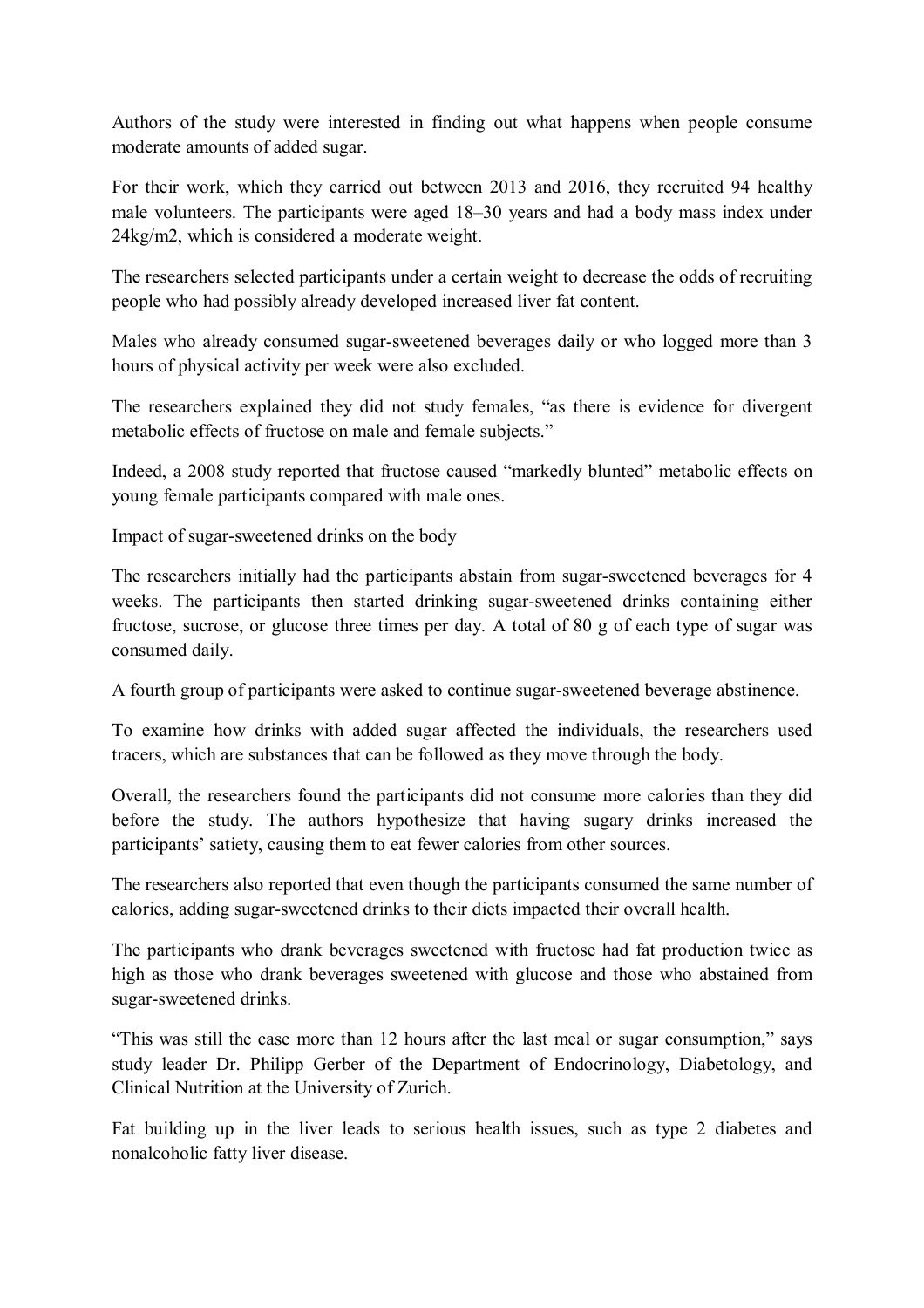Authors of the study were interested in finding out what happens when people consume moderate amounts of added sugar.

For their work, which they carried out between 2013 and 2016, they recruited 94 healthy male volunteers. The participants were aged 18–30 years and had a body mass index under 24kg/m2, which is considered a moderate weight.

The researchers selected participants under a certain weight to decrease the odds of recruiting people who had possibly already developed increased liver fat content.

Males who already consumed sugar-sweetened beverages daily or who logged more than 3 hours of physical activity per week were also excluded.

The researchers explained they did not study females, "as there is evidence for divergent metabolic effects of fructose on male and female subjects."

Indeed, a 2008 study reported that fructose caused "markedly blunted" metabolic effects on young female participants compared with male ones.

Impact of sugar-sweetened drinks on the body

The researchers initially had the participants abstain from sugar-sweetened beverages for 4 weeks. The participants then started drinking sugar-sweetened drinks containing either fructose, sucrose, or glucose three times per day. A total of 80 g of each type of sugar was consumed daily.

A fourth group of participants were asked to continue sugar-sweetened beverage abstinence.

To examine how drinks with added sugar affected the individuals, the researchers used tracers, which are substances that can be followed as they move through the body.

Overall, the researchers found the participants did not consume more calories than they did before the study. The authors hypothesize that having sugary drinks increased the participants' satiety, causing them to eat fewer calories from other sources.

The researchers also reported that even though the participants consumed the same number of calories, adding sugar-sweetened drinks to their diets impacted their overall health.

The participants who drank beverages sweetened with fructose had fat production twice as high as those who drank beverages sweetened with glucose and those who abstained from sugar-sweetened drinks.

"This was still the case more than 12 hours after the last meal or sugar consumption," says study leader Dr. Philipp Gerber of the Department of Endocrinology, Diabetology, and Clinical Nutrition at the University of Zurich.

Fat building up in the liver leads to serious health issues, such as type 2 diabetes and nonalcoholic fatty liver disease.